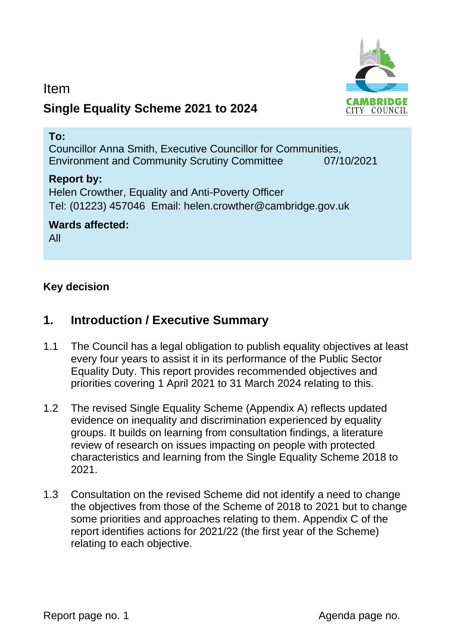

## Item **Single Equality Scheme 2021 to 2024**

### **To:**

Councillor Anna Smith, Executive Councillor for Communities, Environment and Community Scrutiny Committee 07/10/2021

## **Report by:**

Helen Crowther, Equality and Anti-Poverty Officer Tel: (01223) 457046 Email: helen.crowther@cambridge.gov.uk

### **Wards affected:**

All

## **Key decision**

## **1. Introduction / Executive Summary**

- 1.1 The Council has a legal obligation to publish equality objectives at least every four years to assist it in its performance of the Public Sector Equality Duty. This report provides recommended objectives and priorities covering 1 April 2021 to 31 March 2024 relating to this.
- 1.2 The revised Single Equality Scheme (Appendix A) reflects updated evidence on inequality and discrimination experienced by equality groups. It builds on learning from consultation findings, a literature review of research on issues impacting on people with protected characteristics and learning from the Single Equality Scheme 2018 to 2021.
- 1.3 Consultation on the revised Scheme did not identify a need to change the objectives from those of the Scheme of 2018 to 2021 but to change some priorities and approaches relating to them. Appendix C of the report identifies actions for 2021/22 (the first year of the Scheme) relating to each objective.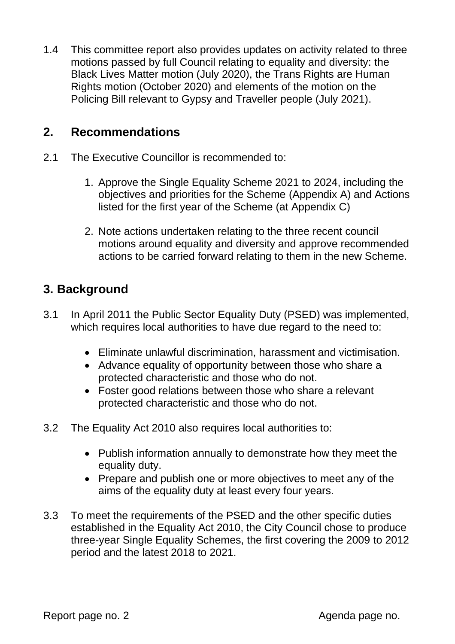1.4 This committee report also provides updates on activity related to three motions passed by full Council relating to equality and diversity: the Black Lives Matter motion (July 2020), the Trans Rights are Human Rights motion (October 2020) and elements of the motion on the Policing Bill relevant to Gypsy and Traveller people (July 2021).

## **2. Recommendations**

- 2.1 The Executive Councillor is recommended to:
	- 1. Approve the Single Equality Scheme 2021 to 2024, including the objectives and priorities for the Scheme (Appendix A) and Actions listed for the first year of the Scheme (at Appendix C)
	- 2. Note actions undertaken relating to the three recent council motions around equality and diversity and approve recommended actions to be carried forward relating to them in the new Scheme.

## **3. Background**

- 3.1 In April 2011 the Public Sector Equality Duty (PSED) was implemented, which requires local authorities to have due regard to the need to:
	- Eliminate unlawful discrimination, harassment and victimisation.
	- Advance equality of opportunity between those who share a protected characteristic and those who do not.
	- Foster good relations between those who share a relevant protected characteristic and those who do not.
- 3.2 The Equality Act 2010 also requires local authorities to:
	- Publish information annually to demonstrate how they meet the equality duty.
	- Prepare and publish one or more objectives to meet any of the aims of the equality duty at least every four years.
- 3.3 To meet the requirements of the PSED and the other specific duties established in the Equality Act 2010, the City Council chose to produce three-year Single Equality Schemes, the first covering the 2009 to 2012 period and the latest 2018 to 2021.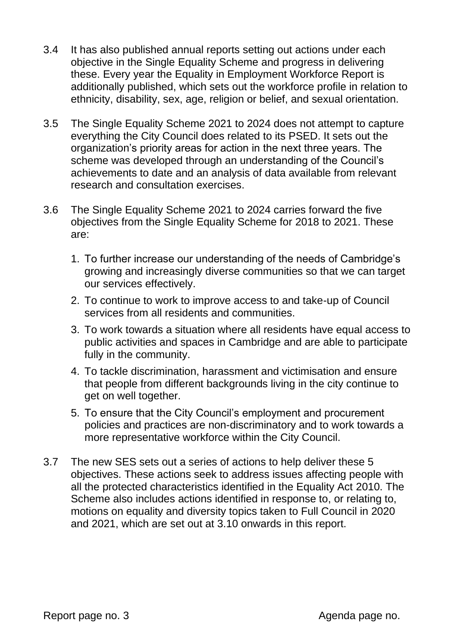- 3.4 It has also published annual reports setting out actions under each objective in the Single Equality Scheme and progress in delivering these. Every year the Equality in Employment Workforce Report is additionally published, which sets out the workforce profile in relation to ethnicity, disability, sex, age, religion or belief, and sexual orientation.
- 3.5 The Single Equality Scheme 2021 to 2024 does not attempt to capture everything the City Council does related to its PSED. It sets out the organization's priority areas for action in the next three years. The scheme was developed through an understanding of the Council's achievements to date and an analysis of data available from relevant research and consultation exercises.
- 3.6 The Single Equality Scheme 2021 to 2024 carries forward the five objectives from the Single Equality Scheme for 2018 to 2021. These are:
	- 1. To further increase our understanding of the needs of Cambridge's growing and increasingly diverse communities so that we can target our services effectively.
	- 2. To continue to work to improve access to and take-up of Council services from all residents and communities.
	- 3. To work towards a situation where all residents have equal access to public activities and spaces in Cambridge and are able to participate fully in the community.
	- 4. To tackle discrimination, harassment and victimisation and ensure that people from different backgrounds living in the city continue to get on well together.
	- 5. To ensure that the City Council's employment and procurement policies and practices are non-discriminatory and to work towards a more representative workforce within the City Council.
- 3.7 The new SES sets out a series of actions to help deliver these 5 objectives. These actions seek to address issues affecting people with all the protected characteristics identified in the Equality Act 2010. The Scheme also includes actions identified in response to, or relating to, motions on equality and diversity topics taken to Full Council in 2020 and 2021, which are set out at 3.10 onwards in this report.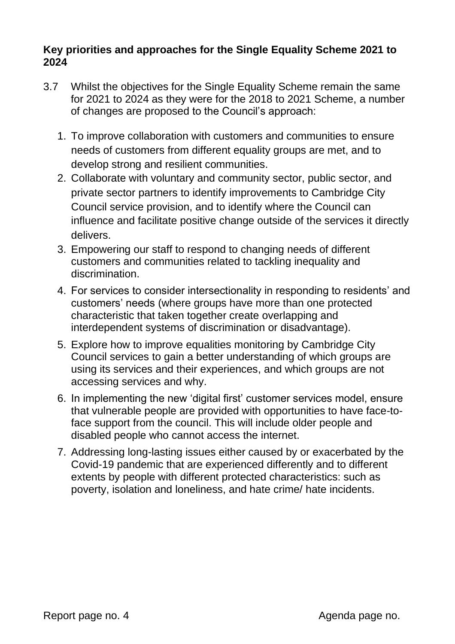### **Key priorities and approaches for the Single Equality Scheme 2021 to 2024**

- 3.7 Whilst the objectives for the Single Equality Scheme remain the same for 2021 to 2024 as they were for the 2018 to 2021 Scheme, a number of changes are proposed to the Council's approach:
	- 1. To improve collaboration with customers and communities to ensure needs of customers from different equality groups are met, and to develop strong and resilient communities.
	- 2. Collaborate with voluntary and community sector, public sector, and private sector partners to identify improvements to Cambridge City Council service provision, and to identify where the Council can influence and facilitate positive change outside of the services it directly delivers.
	- 3. Empowering our staff to respond to changing needs of different customers and communities related to tackling inequality and discrimination.
	- 4. For services to consider intersectionality in responding to residents' and customers' needs (where groups have more than one protected characteristic that taken together create overlapping and interdependent systems of discrimination or disadvantage).
	- 5. Explore how to improve equalities monitoring by Cambridge City Council services to gain a better understanding of which groups are using its services and their experiences, and which groups are not accessing services and why.
	- 6. In implementing the new 'digital first' customer services model, ensure that vulnerable people are provided with opportunities to have face-toface support from the council. This will include older people and disabled people who cannot access the internet.
	- 7. Addressing long-lasting issues either caused by or exacerbated by the Covid-19 pandemic that are experienced differently and to different extents by people with different protected characteristics: such as poverty, isolation and loneliness, and hate crime/ hate incidents.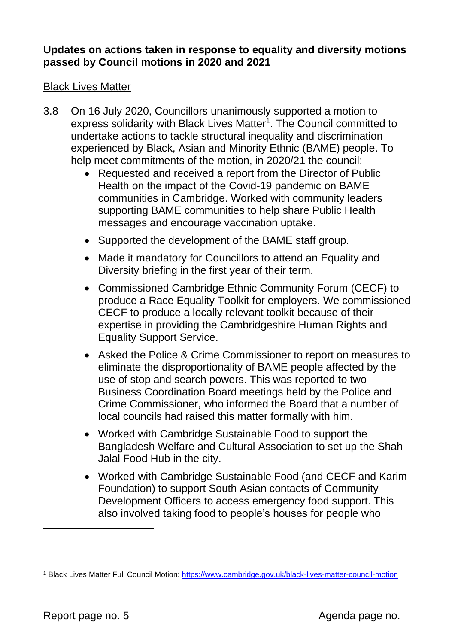### **Updates on actions taken in response to equality and diversity motions passed by Council motions in 2020 and 2021**

### **Black Lives Matter**

- 3.8 On 16 July 2020, Councillors unanimously supported a motion to express solidarity with Black Lives Matter<sup>1</sup>. The Council committed to undertake actions to tackle structural inequality and discrimination experienced by Black, Asian and Minority Ethnic (BAME) people. To help meet commitments of the motion, in 2020/21 the council:
	- Requested and received a report from the Director of Public Health on the impact of the Covid-19 pandemic on BAME communities in Cambridge. Worked with community leaders supporting BAME communities to help share Public Health messages and encourage vaccination uptake.
	- Supported the development of the BAME staff group.
	- Made it mandatory for Councillors to attend an Equality and Diversity briefing in the first year of their term.
	- Commissioned Cambridge Ethnic Community Forum (CECF) to produce a Race Equality Toolkit for employers. We commissioned CECF to produce a locally relevant toolkit because of their expertise in providing the Cambridgeshire Human Rights and Equality Support Service.
	- Asked the Police & Crime Commissioner to report on measures to eliminate the disproportionality of BAME people affected by the use of stop and search powers. This was reported to two Business Coordination Board meetings held by the Police and Crime Commissioner, who informed the Board that a number of local councils had raised this matter formally with him.
	- Worked with Cambridge Sustainable Food to support the Bangladesh Welfare and Cultural Association to set up the Shah Jalal Food Hub in the city.
	- Worked with Cambridge Sustainable Food (and CECF and Karim Foundation) to support South Asian contacts of Community Development Officers to access emergency food support. This also involved taking food to people's houses for people who

<sup>1</sup> Black Lives Matter Full Council Motion:<https://www.cambridge.gov.uk/black-lives-matter-council-motion>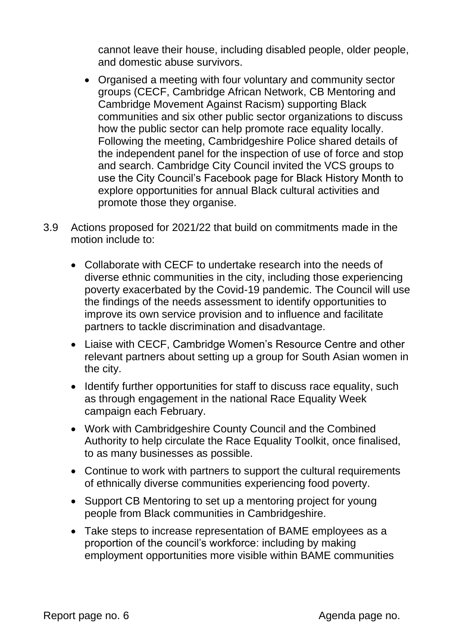cannot leave their house, including disabled people, older people, and domestic abuse survivors.

- Organised a meeting with four voluntary and community sector groups (CECF, Cambridge African Network, CB Mentoring and Cambridge Movement Against Racism) supporting Black communities and six other public sector organizations to discuss how the public sector can help promote race equality locally. Following the meeting, Cambridgeshire Police shared details of the independent panel for the inspection of use of force and stop and search. Cambridge City Council invited the VCS groups to use the City Council's Facebook page for Black History Month to explore opportunities for annual Black cultural activities and promote those they organise.
- 3.9 Actions proposed for 2021/22 that build on commitments made in the motion include to:
	- Collaborate with CECF to undertake research into the needs of diverse ethnic communities in the city, including those experiencing poverty exacerbated by the Covid-19 pandemic. The Council will use the findings of the needs assessment to identify opportunities to improve its own service provision and to influence and facilitate partners to tackle discrimination and disadvantage.
	- Liaise with CECF, Cambridge Women's Resource Centre and other relevant partners about setting up a group for South Asian women in the city.
	- Identify further opportunities for staff to discuss race equality, such as through engagement in the national Race Equality Week campaign each February.
	- Work with Cambridgeshire County Council and the Combined Authority to help circulate the Race Equality Toolkit, once finalised, to as many businesses as possible.
	- Continue to work with partners to support the cultural requirements of ethnically diverse communities experiencing food poverty.
	- Support CB Mentoring to set up a mentoring project for young people from Black communities in Cambridgeshire.
	- Take steps to increase representation of BAME employees as a proportion of the council's workforce: including by making employment opportunities more visible within BAME communities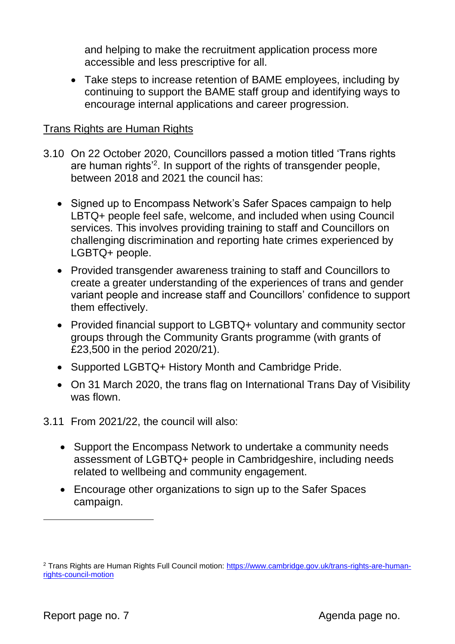and helping to make the recruitment application process more accessible and less prescriptive for all.

• Take steps to increase retention of BAME employees, including by continuing to support the BAME staff group and identifying ways to encourage internal applications and career progression.

### Trans Rights are Human Rights

- 3.10 On 22 October 2020, Councillors passed a motion titled 'Trans rights are human rights'<sup>2</sup> . In support of the rights of transgender people, between 2018 and 2021 the council has:
	- Signed up to Encompass Network's Safer Spaces campaign to help LBTQ+ people feel safe, welcome, and included when using Council services. This involves providing training to staff and Councillors on challenging discrimination and reporting hate crimes experienced by LGBTQ+ people.
	- Provided transgender awareness training to staff and Councillors to create a greater understanding of the experiences of trans and gender variant people and increase staff and Councillors' confidence to support them effectively.
	- Provided financial support to LGBTQ+ voluntary and community sector groups through the Community Grants programme (with grants of £23,500 in the period 2020/21).
	- Supported LGBTQ+ History Month and Cambridge Pride.
	- On 31 March 2020, the trans flag on International Trans Day of Visibility was flown.
- 3.11 From 2021/22, the council will also:
	- Support the Encompass Network to undertake a community needs assessment of LGBTQ+ people in Cambridgeshire, including needs related to wellbeing and community engagement.
	- Encourage other organizations to sign up to the Safer Spaces campaign.

<sup>2</sup> Trans Rights are Human Rights Full Council motion: [https://www.cambridge.gov.uk/trans-rights-are-human](https://www.cambridge.gov.uk/trans-rights-are-human-rights-council-motion)[rights-council-motion](https://www.cambridge.gov.uk/trans-rights-are-human-rights-council-motion)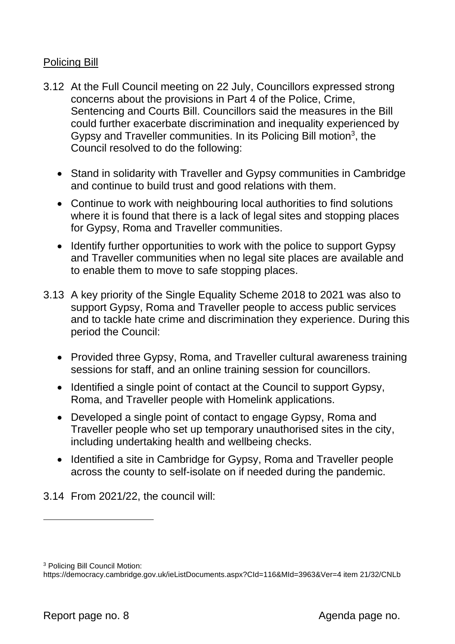### Policing Bill

- 3.12 At the Full Council meeting on 22 July, Councillors expressed strong concerns about the provisions in Part 4 of the Police, Crime, Sentencing and Courts Bill. Councillors said the measures in the Bill could further exacerbate discrimination and inequality experienced by Gypsy and Traveller communities. In its Policing Bill motion<sup>3</sup>, the Council resolved to do the following:
	- Stand in solidarity with Traveller and Gypsy communities in Cambridge and continue to build trust and good relations with them.
	- Continue to work with neighbouring local authorities to find solutions where it is found that there is a lack of legal sites and stopping places for Gypsy, Roma and Traveller communities.
	- Identify further opportunities to work with the police to support Gypsy and Traveller communities when no legal site places are available and to enable them to move to safe stopping places.
- 3.13 A key priority of the Single Equality Scheme 2018 to 2021 was also to support Gypsy, Roma and Traveller people to access public services and to tackle hate crime and discrimination they experience. During this period the Council:
	- Provided three Gypsy, Roma, and Traveller cultural awareness training sessions for staff, and an online training session for councillors.
	- Identified a single point of contact at the Council to support Gypsy, Roma, and Traveller people with Homelink applications.
	- Developed a single point of contact to engage Gypsy, Roma and Traveller people who set up temporary unauthorised sites in the city, including undertaking health and wellbeing checks.
	- Identified a site in Cambridge for Gypsy, Roma and Traveller people across the county to self-isolate on if needed during the pandemic.
- 3.14 From 2021/22, the council will:

<sup>3</sup> Policing Bill Council Motion:

https://democracy.cambridge.gov.uk/ieListDocuments.aspx?CId=116&MId=3963&Ver=4 item 21/32/CNLb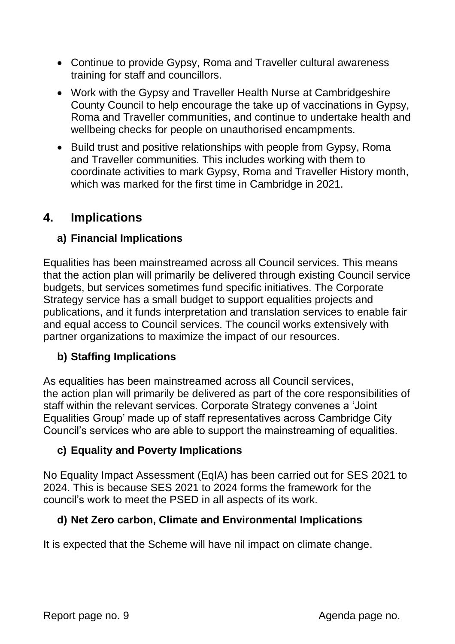- Continue to provide Gypsy, Roma and Traveller cultural awareness training for staff and councillors.
- Work with the Gypsy and Traveller Health Nurse at Cambridgeshire County Council to help encourage the take up of vaccinations in Gypsy, Roma and Traveller communities, and continue to undertake health and wellbeing checks for people on unauthorised encampments.
- Build trust and positive relationships with people from Gypsy, Roma and Traveller communities. This includes working with them to coordinate activities to mark Gypsy, Roma and Traveller History month, which was marked for the first time in Cambridge in 2021.

## **4. Implications**

## **a) Financial Implications**

Equalities has been mainstreamed across all Council services. This means that the action plan will primarily be delivered through existing Council service budgets, but services sometimes fund specific initiatives. The Corporate Strategy service has a small budget to support equalities projects and publications, and it funds interpretation and translation services to enable fair and equal access to Council services. The council works extensively with partner organizations to maximize the impact of our resources.

## **b) Staffing Implications**

As equalities has been mainstreamed across all Council services, the action plan will primarily be delivered as part of the core responsibilities of staff within the relevant services. Corporate Strategy convenes a 'Joint Equalities Group' made up of staff representatives across Cambridge City Council's services who are able to support the mainstreaming of equalities.

## **c) Equality and Poverty Implications**

No Equality Impact Assessment (EqIA) has been carried out for SES 2021 to 2024. This is because SES 2021 to 2024 forms the framework for the council's work to meet the PSED in all aspects of its work.

### **d) Net Zero carbon, Climate and Environmental Implications**

It is expected that the Scheme will have nil impact on climate change.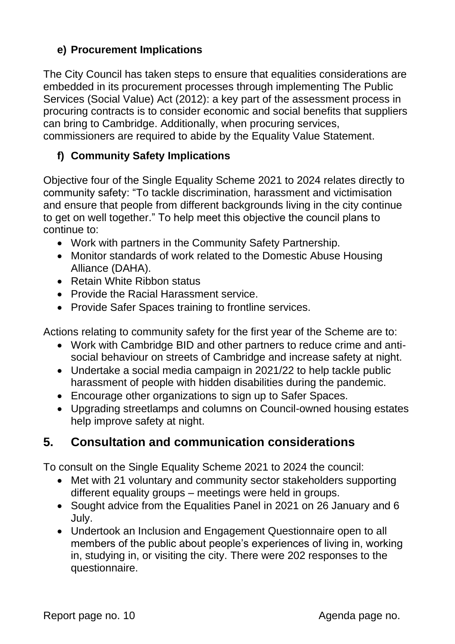## **e) Procurement Implications**

The City Council has taken steps to ensure that equalities considerations are embedded in its procurement processes through implementing The Public Services (Social Value) Act (2012): a key part of the assessment process in procuring contracts is to consider economic and social benefits that suppliers can bring to Cambridge. Additionally, when procuring services, commissioners are required to abide by the Equality Value Statement.

## **f) Community Safety Implications**

Objective four of the Single Equality Scheme 2021 to 2024 relates directly to community safety: "To tackle discrimination, harassment and victimisation and ensure that people from different backgrounds living in the city continue to get on well together." To help meet this objective the council plans to continue to:

- Work with partners in the Community Safety Partnership.
- Monitor standards of work related to the Domestic Abuse Housing Alliance (DAHA).
- Retain White Ribbon status
- Provide the Racial Harassment service.
- Provide Safer Spaces training to frontline services.

Actions relating to community safety for the first year of the Scheme are to:

- Work with Cambridge BID and other partners to reduce crime and antisocial behaviour on streets of Cambridge and increase safety at night.
- Undertake a social media campaign in 2021/22 to help tackle public harassment of people with hidden disabilities during the pandemic.
- Encourage other organizations to sign up to Safer Spaces.
- Upgrading streetlamps and columns on Council-owned housing estates help improve safety at night.

## **5. Consultation and communication considerations**

To consult on the Single Equality Scheme 2021 to 2024 the council:

- Met with 21 voluntary and community sector stakeholders supporting different equality groups – meetings were held in groups.
- Sought advice from the Equalities Panel in 2021 on 26 January and 6 July.
- Undertook an Inclusion and Engagement Questionnaire open to all members of the public about people's experiences of living in, working in, studying in, or visiting the city. There were 202 responses to the questionnaire.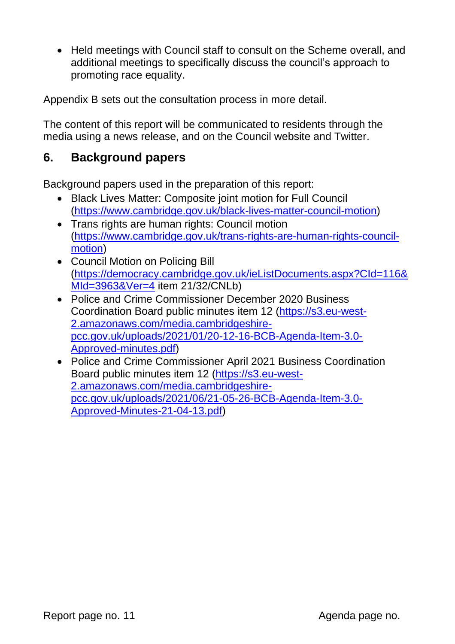• Held meetings with Council staff to consult on the Scheme overall, and additional meetings to specifically discuss the council's approach to promoting race equality.

Appendix B sets out the consultation process in more detail.

The content of this report will be communicated to residents through the media using a news release, and on the Council website and Twitter.

## **6. Background papers**

Background papers used in the preparation of this report:

- Black Lives Matter: Composite joint motion for Full Council [\(https://www.cambridge.gov.uk/black-lives-matter-council-motion\)](https://www.cambridge.gov.uk/black-lives-matter-council-motion)
- Trans rights are human rights: Council motion [\(https://www.cambridge.gov.uk/trans-rights-are-human-rights-council](https://www.cambridge.gov.uk/trans-rights-are-human-rights-council-motion)[motion\)](https://www.cambridge.gov.uk/trans-rights-are-human-rights-council-motion)
- Council Motion on Policing Bill [\(https://democracy.cambridge.gov.uk/ieListDocuments.aspx?CId=116&](https://democracy.cambridge.gov.uk/ieListDocuments.aspx?CId=116&MId=3963&Ver=4) [MId=3963&Ver=4](https://democracy.cambridge.gov.uk/ieListDocuments.aspx?CId=116&MId=3963&Ver=4) item 21/32/CNLb)
- Police and Crime Commissioner December 2020 Business Coordination Board public minutes item 12 [\(https://s3.eu-west-](https://s3.eu-west-2.amazonaws.com/media.cambridgeshire-pcc.gov.uk/uploads/2021/01/20-12-16-BCB-Agenda-Item-3.0-Approved-minutes.pdf)[2.amazonaws.com/media.cambridgeshire](https://s3.eu-west-2.amazonaws.com/media.cambridgeshire-pcc.gov.uk/uploads/2021/01/20-12-16-BCB-Agenda-Item-3.0-Approved-minutes.pdf)[pcc.gov.uk/uploads/2021/01/20-12-16-BCB-Agenda-Item-3.0-](https://s3.eu-west-2.amazonaws.com/media.cambridgeshire-pcc.gov.uk/uploads/2021/01/20-12-16-BCB-Agenda-Item-3.0-Approved-minutes.pdf) [Approved-minutes.pdf\)](https://s3.eu-west-2.amazonaws.com/media.cambridgeshire-pcc.gov.uk/uploads/2021/01/20-12-16-BCB-Agenda-Item-3.0-Approved-minutes.pdf)
- Police and Crime Commissioner April 2021 Business Coordination Board public minutes item 12 [\(https://s3.eu-west-](https://s3.eu-west-2.amazonaws.com/media.cambridgeshire-pcc.gov.uk/uploads/2021/06/21-05-26-BCB-Agenda-Item-3.0-Approved-Minutes-21-04-13.pdf)[2.amazonaws.com/media.cambridgeshire](https://s3.eu-west-2.amazonaws.com/media.cambridgeshire-pcc.gov.uk/uploads/2021/06/21-05-26-BCB-Agenda-Item-3.0-Approved-Minutes-21-04-13.pdf)[pcc.gov.uk/uploads/2021/06/21-05-26-BCB-Agenda-Item-3.0-](https://s3.eu-west-2.amazonaws.com/media.cambridgeshire-pcc.gov.uk/uploads/2021/06/21-05-26-BCB-Agenda-Item-3.0-Approved-Minutes-21-04-13.pdf) [Approved-Minutes-21-04-13.pdf\)](https://s3.eu-west-2.amazonaws.com/media.cambridgeshire-pcc.gov.uk/uploads/2021/06/21-05-26-BCB-Agenda-Item-3.0-Approved-Minutes-21-04-13.pdf)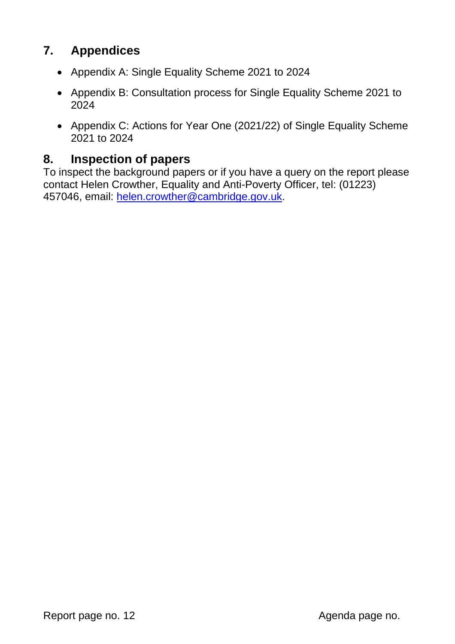## **7. Appendices**

- Appendix A: Single Equality Scheme 2021 to 2024
- Appendix B: Consultation process for Single Equality Scheme 2021 to 2024
- Appendix C: Actions for Year One (2021/22) of Single Equality Scheme 2021 to 2024

## **8. Inspection of papers**

To inspect the background papers or if you have a query on the report please contact Helen Crowther, Equality and Anti-Poverty Officer, tel: (01223) 457046, email: [helen.crowther@cambridge.gov.uk.](mailto:helen.crowther@cambridge.gov.uk)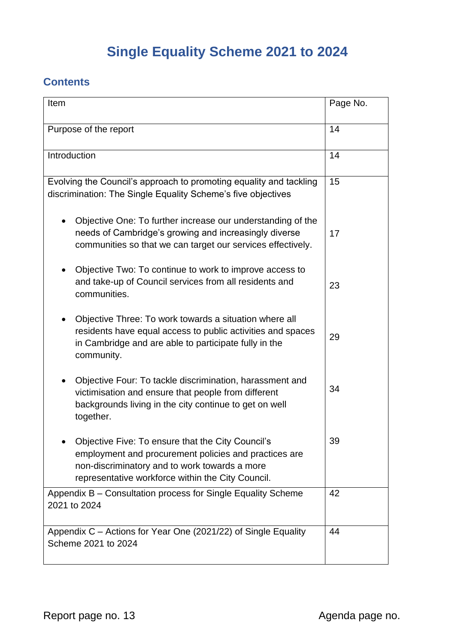# **Single Equality Scheme 2021 to 2024**

## **Contents**

| Item                                                                                                                                                                                                             | Page No. |
|------------------------------------------------------------------------------------------------------------------------------------------------------------------------------------------------------------------|----------|
| Purpose of the report                                                                                                                                                                                            | 14       |
| Introduction                                                                                                                                                                                                     | 14       |
| Evolving the Council's approach to promoting equality and tackling<br>discrimination: The Single Equality Scheme's five objectives                                                                               | 15       |
| Objective One: To further increase our understanding of the<br>needs of Cambridge's growing and increasingly diverse<br>communities so that we can target our services effectively.                              | 17       |
| Objective Two: To continue to work to improve access to<br>and take-up of Council services from all residents and<br>communities.                                                                                | 23       |
| Objective Three: To work towards a situation where all<br>residents have equal access to public activities and spaces<br>in Cambridge and are able to participate fully in the<br>community.                     | 29       |
| Objective Four: To tackle discrimination, harassment and<br>victimisation and ensure that people from different<br>backgrounds living in the city continue to get on well<br>together.                           | 34       |
| Objective Five: To ensure that the City Council's<br>employment and procurement policies and practices are<br>non-discriminatory and to work towards a more<br>representative workforce within the City Council. | 39       |
| Appendix B - Consultation process for Single Equality Scheme<br>2021 to 2024                                                                                                                                     | 42       |
| Appendix C - Actions for Year One (2021/22) of Single Equality<br>Scheme 2021 to 2024                                                                                                                            | 44       |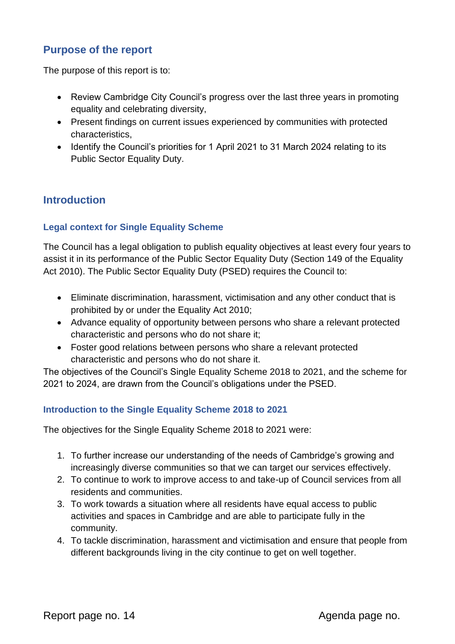## **Purpose of the report**

The purpose of this report is to:

- Review Cambridge City Council's progress over the last three years in promoting equality and celebrating diversity,
- Present findings on current issues experienced by communities with protected characteristics,
- Identify the Council's priorities for 1 April 2021 to 31 March 2024 relating to its Public Sector Equality Duty.

### **Introduction**

#### **Legal context for Single Equality Scheme**

The Council has a legal obligation to publish equality objectives at least every four years to assist it in its performance of the Public Sector Equality Duty (Section 149 of the Equality Act 2010). The Public Sector Equality Duty (PSED) requires the Council to:

- Eliminate discrimination, harassment, victimisation and any other conduct that is prohibited by or under the Equality Act 2010;
- Advance equality of opportunity between persons who share a relevant protected characteristic and persons who do not share it;
- Foster good relations between persons who share a relevant protected characteristic and persons who do not share it.

The objectives of the Council's Single Equality Scheme 2018 to 2021, and the scheme for 2021 to 2024, are drawn from the Council's obligations under the PSED.

#### **Introduction to the Single Equality Scheme 2018 to 2021**

The objectives for the Single Equality Scheme 2018 to 2021 were:

- 1. To further increase our understanding of the needs of Cambridge's growing and increasingly diverse communities so that we can target our services effectively.
- 2. To continue to work to improve access to and take-up of Council services from all residents and communities.
- 3. To work towards a situation where all residents have equal access to public activities and spaces in Cambridge and are able to participate fully in the community.
- 4. To tackle discrimination, harassment and victimisation and ensure that people from different backgrounds living in the city continue to get on well together.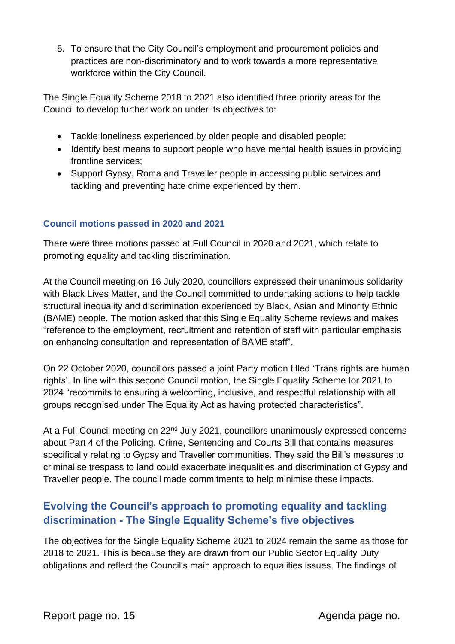5. To ensure that the City Council's employment and procurement policies and practices are non-discriminatory and to work towards a more representative workforce within the City Council.

The Single Equality Scheme 2018 to 2021 also identified three priority areas for the Council to develop further work on under its objectives to:

- Tackle loneliness experienced by older people and disabled people;
- Identify best means to support people who have mental health issues in providing frontline services;
- Support Gypsy, Roma and Traveller people in accessing public services and tackling and preventing hate crime experienced by them.

### **Council motions passed in 2020 and 2021**

There were three motions passed at Full Council in 2020 and 2021, which relate to promoting equality and tackling discrimination.

At the Council meeting on 16 July 2020, councillors expressed their unanimous solidarity with Black Lives Matter, and the Council committed to undertaking actions to help tackle structural inequality and discrimination experienced by Black, Asian and Minority Ethnic (BAME) people. The motion asked that this Single Equality Scheme reviews and makes "reference to the employment, recruitment and retention of staff with particular emphasis on enhancing consultation and representation of BAME staff".

On 22 October 2020, councillors passed a joint Party motion titled 'Trans rights are human rights'. In line with this second Council motion, the Single Equality Scheme for 2021 to 2024 "recommits to ensuring a welcoming, inclusive, and respectful relationship with all groups recognised under The Equality Act as having protected characteristics".

At a Full Council meeting on 22<sup>nd</sup> July 2021, councillors unanimously expressed concerns about Part 4 of the Policing, Crime, Sentencing and Courts Bill that contains measures specifically relating to Gypsy and Traveller communities. They said the Bill's measures to criminalise trespass to land could exacerbate inequalities and discrimination of Gypsy and Traveller people. The council made commitments to help minimise these impacts.

## **Evolving the Council's approach to promoting equality and tackling discrimination - The Single Equality Scheme's five objectives**

The objectives for the Single Equality Scheme 2021 to 2024 remain the same as those for 2018 to 2021. This is because they are drawn from our Public Sector Equality Duty obligations and reflect the Council's main approach to equalities issues. The findings of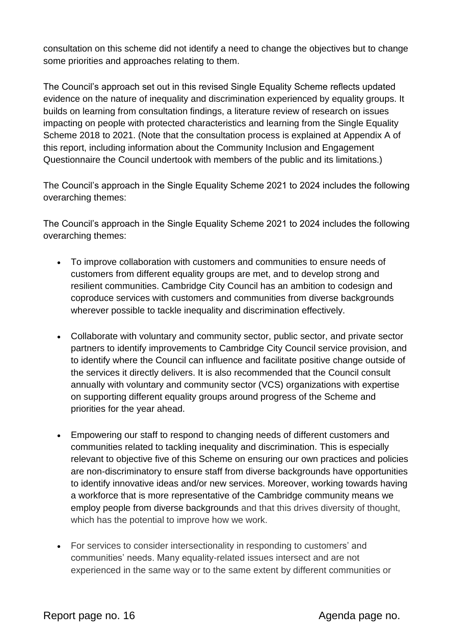consultation on this scheme did not identify a need to change the objectives but to change some priorities and approaches relating to them.

The Council's approach set out in this revised Single Equality Scheme reflects updated evidence on the nature of inequality and discrimination experienced by equality groups. It builds on learning from consultation findings, a literature review of research on issues impacting on people with protected characteristics and learning from the Single Equality Scheme 2018 to 2021. (Note that the consultation process is explained at Appendix A of this report, including information about the Community Inclusion and Engagement Questionnaire the Council undertook with members of the public and its limitations.)

The Council's approach in the Single Equality Scheme 2021 to 2024 includes the following overarching themes:

The Council's approach in the Single Equality Scheme 2021 to 2024 includes the following overarching themes:

- To improve collaboration with customers and communities to ensure needs of customers from different equality groups are met, and to develop strong and resilient communities. Cambridge City Council has an ambition to codesign and coproduce services with customers and communities from diverse backgrounds wherever possible to tackle inequality and discrimination effectively.
- Collaborate with voluntary and community sector, public sector, and private sector partners to identify improvements to Cambridge City Council service provision, and to identify where the Council can influence and facilitate positive change outside of the services it directly delivers. It is also recommended that the Council consult annually with voluntary and community sector (VCS) organizations with expertise on supporting different equality groups around progress of the Scheme and priorities for the year ahead.
- Empowering our staff to respond to changing needs of different customers and communities related to tackling inequality and discrimination. This is especially relevant to objective five of this Scheme on ensuring our own practices and policies are non-discriminatory to ensure staff from diverse backgrounds have opportunities to identify innovative ideas and/or new services. Moreover, working towards having a workforce that is more representative of the Cambridge community means we employ people from diverse backgrounds and that this drives diversity of thought, which has the potential to improve how we work.
- For services to consider intersectionality in responding to customers' and communities' needs. Many equality-related issues intersect and are not experienced in the same way or to the same extent by different communities or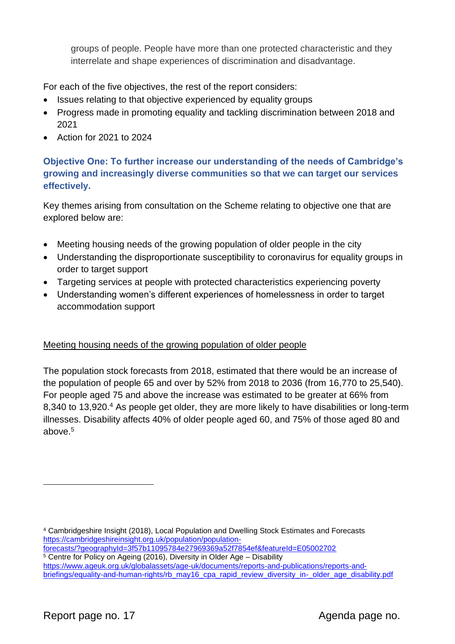groups of people. People have more than one protected characteristic and they interrelate and shape experiences of discrimination and disadvantage.

For each of the five objectives, the rest of the report considers:

- Issues relating to that objective experienced by equality groups
- Progress made in promoting equality and tackling discrimination between 2018 and 2021
- Action for 2021 to 2024

### **Objective One: To further increase our understanding of the needs of Cambridge's growing and increasingly diverse communities so that we can target our services effectively.**

Key themes arising from consultation on the Scheme relating to objective one that are explored below are:

- Meeting housing needs of the growing population of older people in the city
- Understanding the disproportionate susceptibility to coronavirus for equality groups in order to target support
- Targeting services at people with protected characteristics experiencing poverty
- Understanding women's different experiences of homelessness in order to target accommodation support

### Meeting housing needs of the growing population of older people

The population stock forecasts from 2018, estimated that there would be an increase of the population of people 65 and over by 52% from 2018 to 2036 (from 16,770 to 25,540). For people aged 75 and above the increase was estimated to be greater at 66% from 8,340 to 13,920.<sup>4</sup> As people get older, they are more likely to have disabilities or long-term illnesses. Disability affects 40% of older people aged 60, and 75% of those aged 80 and above.<sup>5</sup>

<sup>4</sup> Cambridgeshire Insight (2018), Local Population and Dwelling Stock Estimates and Forecasts [https://cambridgeshireinsight.org.uk/population/population-](https://cambridgeshireinsight.org.uk/population/population-forecasts/?geographyId=3f57b11095784e27969369a52f7854ef&featureId=E05002702)

[forecasts/?geographyId=3f57b11095784e27969369a52f7854ef&featureId=E05002702](https://cambridgeshireinsight.org.uk/population/population-forecasts/?geographyId=3f57b11095784e27969369a52f7854ef&featureId=E05002702)

<sup>5</sup> Centre for Policy on Ageing (2016), Diversity in Older Age – Disability [https://www.ageuk.org.uk/globalassets/age-uk/documents/reports-and-publications/reports-and](https://www.ageuk.org.uk/globalassets/age-uk/documents/reports-and-publications/reports-and-briefings/equality-and-human-rights/rb_may16_cpa_rapid_review_diversity_in-_older_age_disability.pdf)[briefings/equality-and-human-rights/rb\\_may16\\_cpa\\_rapid\\_review\\_diversity\\_in-\\_older\\_age\\_disability.pdf](https://www.ageuk.org.uk/globalassets/age-uk/documents/reports-and-publications/reports-and-briefings/equality-and-human-rights/rb_may16_cpa_rapid_review_diversity_in-_older_age_disability.pdf)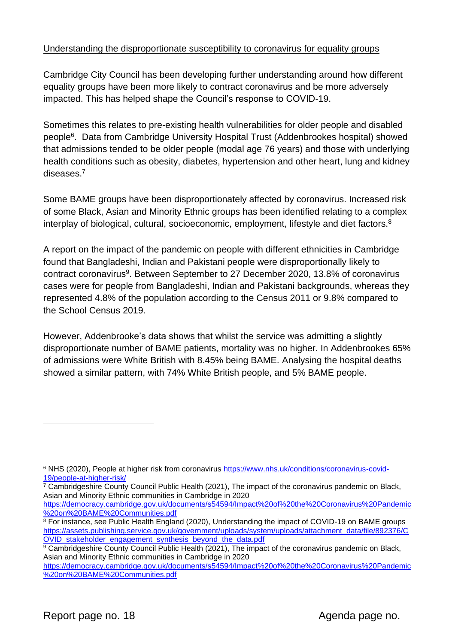#### Understanding the disproportionate susceptibility to coronavirus for equality groups

Cambridge City Council has been developing further understanding around how different equality groups have been more likely to contract coronavirus and be more adversely impacted. This has helped shape the Council's response to COVID-19.

Sometimes this relates to pre-existing health vulnerabilities for older people and disabled people<sup>6</sup> . Data from Cambridge University Hospital Trust (Addenbrookes hospital) showed that admissions tended to be older people (modal age 76 years) and those with underlying health conditions such as obesity, diabetes, hypertension and other heart, lung and kidney diseases.<sup>7</sup>

Some BAME groups have been disproportionately affected by coronavirus. Increased risk of some Black, Asian and Minority Ethnic groups has been identified relating to a complex interplay of biological, cultural, socioeconomic, employment, lifestyle and diet factors.<sup>8</sup>

A report on the impact of the pandemic on people with different ethnicities in Cambridge found that Bangladeshi, Indian and Pakistani people were disproportionally likely to contract coronavirus<sup>9</sup>. Between September to 27 December 2020, 13.8% of coronavirus cases were for people from Bangladeshi, Indian and Pakistani backgrounds, whereas they represented 4.8% of the population according to the Census 2011 or 9.8% compared to the School Census 2019.

However, Addenbrooke's data shows that whilst the service was admitting a slightly disproportionate number of BAME patients, mortality was no higher. In Addenbrookes 65% of admissions were White British with 8.45% being BAME. Analysing the hospital deaths showed a similar pattern, with 74% White British people, and 5% BAME people.

 $7$  Cambridgeshire County Council Public Health (2021), The impact of the coronavirus pandemic on Black, Asian and Minority Ethnic communities in Cambridge in 2020

[https://democracy.cambridge.gov.uk/documents/s54594/Impact%20of%20the%20Coronavirus%20Pandemic](https://democracy.cambridge.gov.uk/documents/s54594/Impact%20of%20the%20Coronavirus%20Pandemic%20on%20BAME%20Communities.pdf) [%20on%20BAME%20Communities.pdf](https://democracy.cambridge.gov.uk/documents/s54594/Impact%20of%20the%20Coronavirus%20Pandemic%20on%20BAME%20Communities.pdf)

<sup>&</sup>lt;sup>6</sup> NHS (2020), People at higher risk from coronavirus [https://www.nhs.uk/conditions/coronavirus-covid-](https://www.nhs.uk/conditions/coronavirus-covid-19/people-at-higher-risk/)[19/people-at-higher-risk/](https://www.nhs.uk/conditions/coronavirus-covid-19/people-at-higher-risk/)

<sup>8</sup> For instance, see Public Health England (2020), Understanding the impact of COVID-19 on BAME groups [https://assets.publishing.service.gov.uk/government/uploads/system/uploads/attachment\\_data/file/892376/C](https://assets.publishing.service.gov.uk/government/uploads/system/uploads/attachment_data/file/892376/COVID_stakeholder_engagement_synthesis_beyond_the_data.pdf) [OVID\\_stakeholder\\_engagement\\_synthesis\\_beyond\\_the\\_data.pdf](https://assets.publishing.service.gov.uk/government/uploads/system/uploads/attachment_data/file/892376/COVID_stakeholder_engagement_synthesis_beyond_the_data.pdf)

<sup>&</sup>lt;sup>9</sup> Cambridgeshire County Council Public Health (2021), The impact of the coronavirus pandemic on Black, Asian and Minority Ethnic communities in Cambridge in 2020

[https://democracy.cambridge.gov.uk/documents/s54594/Impact%20of%20the%20Coronavirus%20Pandemic](https://democracy.cambridge.gov.uk/documents/s54594/Impact%20of%20the%20Coronavirus%20Pandemic%20on%20BAME%20Communities.pdf) [%20on%20BAME%20Communities.pdf](https://democracy.cambridge.gov.uk/documents/s54594/Impact%20of%20the%20Coronavirus%20Pandemic%20on%20BAME%20Communities.pdf)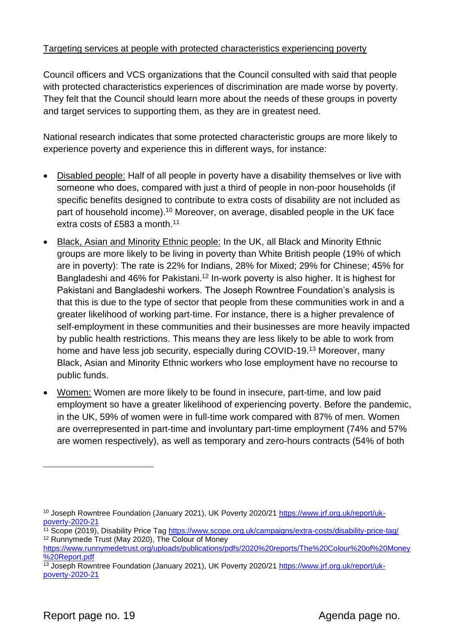#### Targeting services at people with protected characteristics experiencing poverty

Council officers and VCS organizations that the Council consulted with said that people with protected characteristics experiences of discrimination are made worse by poverty. They felt that the Council should learn more about the needs of these groups in poverty and target services to supporting them, as they are in greatest need.

National research indicates that some protected characteristic groups are more likely to experience poverty and experience this in different ways, for instance:

- Disabled people: Half of all people in poverty have a disability themselves or live with someone who does, compared with just a third of people in non-poor households (if specific benefits designed to contribute to extra costs of disability are not included as part of household income).<sup>10</sup> Moreover, on average, disabled people in the UK face extra costs of £583 a month.<sup>11</sup>
- Black, Asian and Minority Ethnic people: In the UK, all Black and Minority Ethnic groups are more likely to be living in poverty than White British people (19% of which are in poverty): The rate is 22% for Indians, 28% for Mixed; 29% for Chinese; 45% for Bangladeshi and 46% for Pakistani.<sup>12</sup> In-work poverty is also higher. It is highest for Pakistani and Bangladeshi workers. The Joseph Rowntree Foundation's analysis is that this is due to the type of sector that people from these communities work in and a greater likelihood of working part-time. For instance, there is a higher prevalence of self-employment in these communities and their businesses are more heavily impacted by public health restrictions. This means they are less likely to be able to work from home and have less job security, especially during COVID-19.<sup>13</sup> Moreover, many Black, Asian and Minority Ethnic workers who lose employment have no recourse to public funds.
- Women: Women are more likely to be found in insecure, part-time, and low paid employment so have a greater likelihood of experiencing poverty. Before the pandemic, in the UK, 59% of women were in full-time work compared with 87% of men. Women are overrepresented in part-time and involuntary part-time employment (74% and 57% are women respectively), as well as temporary and zero-hours contracts (54% of both

<sup>10</sup> Joseph Rowntree Foundation (January 2021), UK Poverty 2020/21 [https://www.jrf.org.uk/report/uk](https://www.jrf.org.uk/report/uk-poverty-2020-21)[poverty-2020-21](https://www.jrf.org.uk/report/uk-poverty-2020-21)

<sup>&</sup>lt;sup>11</sup> Scope (2019), Disability Price Tag<https://www.scope.org.uk/campaigns/extra-costs/disability-price-tag/> <sup>12</sup> Runnymede Trust (May 2020), The Colour of Money

[https://www.runnymedetrust.org/uploads/publications/pdfs/2020%20reports/The%20Colour%20of%20Money](https://www.runnymedetrust.org/uploads/publications/pdfs/2020%20reports/The%20Colour%20of%20Money%20Report.pdf) [%20Report.pdf](https://www.runnymedetrust.org/uploads/publications/pdfs/2020%20reports/The%20Colour%20of%20Money%20Report.pdf) 

<sup>&</sup>lt;sup>13</sup> Joseph Rowntree Foundation (January 2021), UK Poverty 2020/21 [https://www.jrf.org.uk/report/uk](https://www.jrf.org.uk/report/uk-poverty-2020-21)[poverty-2020-21](https://www.jrf.org.uk/report/uk-poverty-2020-21)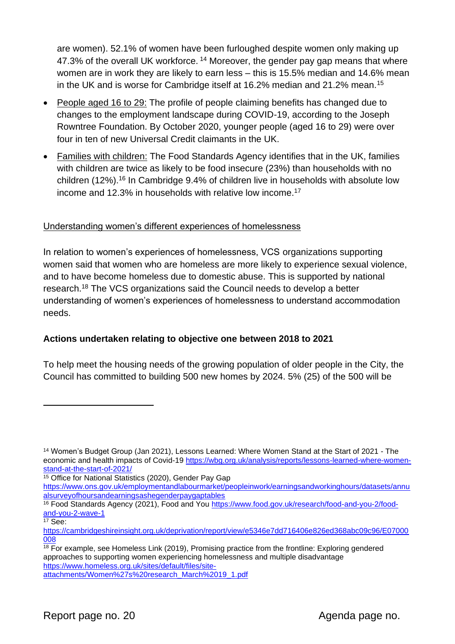are women). 52.1% of women have been furloughed despite women only making up 47.3% of the overall UK workforce. <sup>14</sup> Moreover, the gender pay gap means that where women are in work they are likely to earn less – this is 15.5% median and 14.6% mean in the UK and is worse for Cambridge itself at 16.2% median and 21.2% mean.<sup>15</sup>

- People aged 16 to 29: The profile of people claiming benefits has changed due to changes to the employment landscape during COVID-19, according to the Joseph Rowntree Foundation. By October 2020, younger people (aged 16 to 29) were over four in ten of new Universal Credit claimants in the UK.
- Families with children: The Food Standards Agency identifies that in the UK, families with children are twice as likely to be food insecure (23%) than households with no children (12%).<sup>16</sup> In Cambridge 9.4% of children live in households with absolute low income and 12.3% in households with relative low income.<sup>17</sup>

#### Understanding women's different experiences of homelessness

In relation to women's experiences of homelessness, VCS organizations supporting women said that women who are homeless are more likely to experience sexual violence, and to have become homeless due to domestic abuse. This is supported by national research.<sup>18</sup> The VCS organizations said the Council needs to develop a better understanding of women's experiences of homelessness to understand accommodation needs.

#### **Actions undertaken relating to objective one between 2018 to 2021**

To help meet the housing needs of the growing population of older people in the City, the Council has committed to building 500 new homes by 2024. 5% (25) of the 500 will be

<sup>14</sup> Women's Budget Group (Jan 2021), Lessons Learned: Where Women Stand at the Start of 2021 - The economic and health impacts of Covid-19 [https://wbg.org.uk/analysis/reports/lessons-learned-where-women](https://wbg.org.uk/analysis/reports/lessons-learned-where-women-stand-at-the-start-of-2021/)[stand-at-the-start-of-2021/](https://wbg.org.uk/analysis/reports/lessons-learned-where-women-stand-at-the-start-of-2021/)

<sup>15</sup> Office for National Statistics (2020), Gender Pay Gap

[https://www.ons.gov.uk/employmentandlabourmarket/peopleinwork/earningsandworkinghours/datasets/annu](https://www.ons.gov.uk/employmentandlabourmarket/peopleinwork/earningsandworkinghours/datasets/annualsurveyofhoursandearningsashegenderpaygaptables) [alsurveyofhoursandearningsashegenderpaygaptables](https://www.ons.gov.uk/employmentandlabourmarket/peopleinwork/earningsandworkinghours/datasets/annualsurveyofhoursandearningsashegenderpaygaptables)

<sup>16</sup> Food Standards Agency (2021), Food and You [https://www.food.gov.uk/research/food-and-you-2/food](https://www.food.gov.uk/research/food-and-you-2/food-and-you-2-wave-1)[and-you-2-wave-1](https://www.food.gov.uk/research/food-and-you-2/food-and-you-2-wave-1)

<sup>17</sup> See:

[https://cambridgeshireinsight.org.uk/deprivation/report/view/e5346e7dd716406e826ed368abc09c96/E07000](https://cambridgeshireinsight.org.uk/deprivation/report/view/e5346e7dd716406e826ed368abc09c96/E07000008) [008](https://cambridgeshireinsight.org.uk/deprivation/report/view/e5346e7dd716406e826ed368abc09c96/E07000008)

<sup>&</sup>lt;sup>18</sup> For example, see Homeless Link (2019), Promising practice from the frontline: Exploring gendered approaches to supporting women experiencing homelessness and multiple disadvantage [https://www.homeless.org.uk/sites/default/files/site-](https://www.homeless.org.uk/sites/default/files/site-attachments/Women%27s%20research_March%2019_1.pdf)

[attachments/Women%27s%20research\\_March%2019\\_1.pdf](https://www.homeless.org.uk/sites/default/files/site-attachments/Women%27s%20research_March%2019_1.pdf)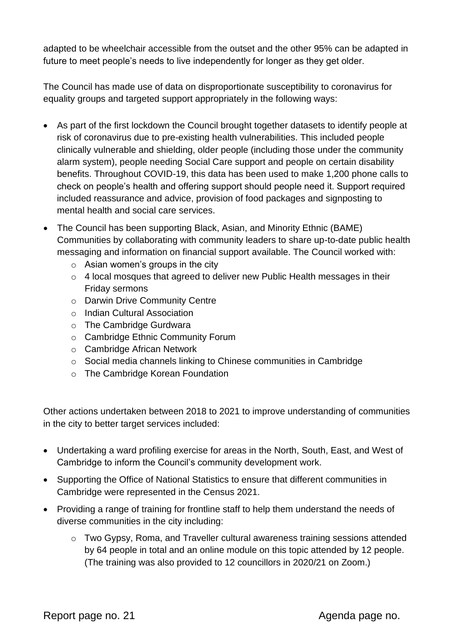adapted to be wheelchair accessible from the outset and the other 95% can be adapted in future to meet people's needs to live independently for longer as they get older.

The Council has made use of data on disproportionate susceptibility to coronavirus for equality groups and targeted support appropriately in the following ways:

- As part of the first lockdown the Council brought together datasets to identify people at risk of coronavirus due to pre-existing health vulnerabilities. This included people clinically vulnerable and shielding, older people (including those under the community alarm system), people needing Social Care support and people on certain disability benefits. Throughout COVID-19, this data has been used to make 1,200 phone calls to check on people's health and offering support should people need it. Support required included reassurance and advice, provision of food packages and signposting to mental health and social care services.
- The Council has been supporting Black, Asian, and Minority Ethnic (BAME) Communities by collaborating with community leaders to share up-to-date public health messaging and information on financial support available. The Council worked with:
	- $\circ$  Asian women's groups in the city
	- o 4 local mosques that agreed to deliver new Public Health messages in their Friday sermons
	- o Darwin Drive Community Centre
	- o Indian Cultural Association
	- o The Cambridge Gurdwara
	- o Cambridge Ethnic Community Forum
	- o Cambridge African Network
	- o Social media channels linking to Chinese communities in Cambridge
	- o The Cambridge Korean Foundation

Other actions undertaken between 2018 to 2021 to improve understanding of communities in the city to better target services included:

- Undertaking a ward profiling exercise for areas in the North, South, East, and West of Cambridge to inform the Council's community development work.
- Supporting the Office of National Statistics to ensure that different communities in Cambridge were represented in the Census 2021.
- Providing a range of training for frontline staff to help them understand the needs of diverse communities in the city including:
	- o Two Gypsy, Roma, and Traveller cultural awareness training sessions attended by 64 people in total and an online module on this topic attended by 12 people. (The training was also provided to 12 councillors in 2020/21 on Zoom.)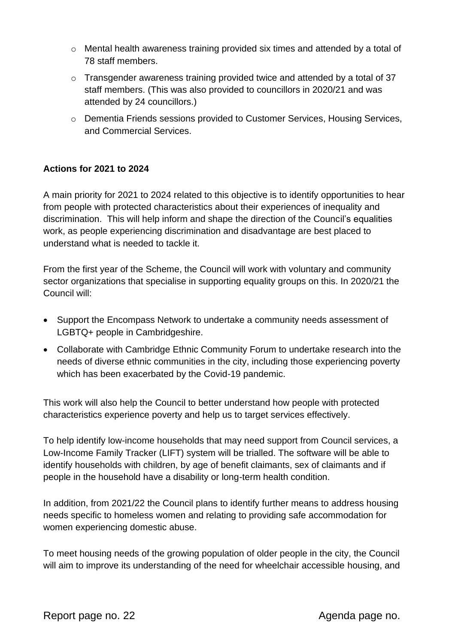- $\circ$  Mental health awareness training provided six times and attended by a total of 78 staff members.
- o Transgender awareness training provided twice and attended by a total of 37 staff members. (This was also provided to councillors in 2020/21 and was attended by 24 councillors.)
- o Dementia Friends sessions provided to Customer Services, Housing Services, and Commercial Services.

#### **Actions for 2021 to 2024**

A main priority for 2021 to 2024 related to this objective is to identify opportunities to hear from people with protected characteristics about their experiences of inequality and discrimination. This will help inform and shape the direction of the Council's equalities work, as people experiencing discrimination and disadvantage are best placed to understand what is needed to tackle it.

From the first year of the Scheme, the Council will work with voluntary and community sector organizations that specialise in supporting equality groups on this. In 2020/21 the Council will:

- Support the Encompass Network to undertake a community needs assessment of LGBTQ+ people in Cambridgeshire.
- Collaborate with Cambridge Ethnic Community Forum to undertake research into the needs of diverse ethnic communities in the city, including those experiencing poverty which has been exacerbated by the Covid-19 pandemic.

This work will also help the Council to better understand how people with protected characteristics experience poverty and help us to target services effectively.

To help identify low-income households that may need support from Council services, a Low-Income Family Tracker (LIFT) system will be trialled. The software will be able to identify households with children, by age of benefit claimants, sex of claimants and if people in the household have a disability or long-term health condition.

In addition, from 2021/22 the Council plans to identify further means to address housing needs specific to homeless women and relating to providing safe accommodation for women experiencing domestic abuse.

To meet housing needs of the growing population of older people in the city, the Council will aim to improve its understanding of the need for wheelchair accessible housing, and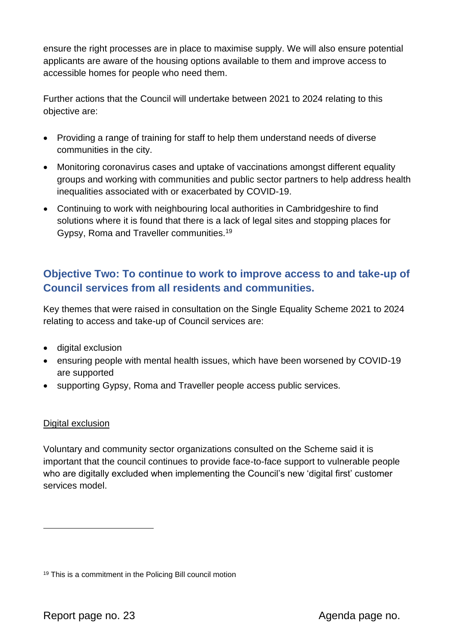ensure the right processes are in place to maximise supply. We will also ensure potential applicants are aware of the housing options available to them and improve access to accessible homes for people who need them.

Further actions that the Council will undertake between 2021 to 2024 relating to this objective are:

- Providing a range of training for staff to help them understand needs of diverse communities in the city.
- Monitoring coronavirus cases and uptake of vaccinations amongst different equality groups and working with communities and public sector partners to help address health inequalities associated with or exacerbated by COVID-19.
- Continuing to work with neighbouring local authorities in Cambridgeshire to find solutions where it is found that there is a lack of legal sites and stopping places for Gypsy, Roma and Traveller communities.<sup>19</sup>

## **Objective Two: To continue to work to improve access to and take-up of Council services from all residents and communities.**

Key themes that were raised in consultation on the Single Equality Scheme 2021 to 2024 relating to access and take-up of Council services are:

- digital exclusion
- ensuring people with mental health issues, which have been worsened by COVID-19 are supported
- supporting Gypsy, Roma and Traveller people access public services.

#### Digital exclusion

Voluntary and community sector organizations consulted on the Scheme said it is important that the council continues to provide face-to-face support to vulnerable people who are digitally excluded when implementing the Council's new 'digital first' customer services model.

<sup>19</sup> This is a commitment in the Policing Bill council motion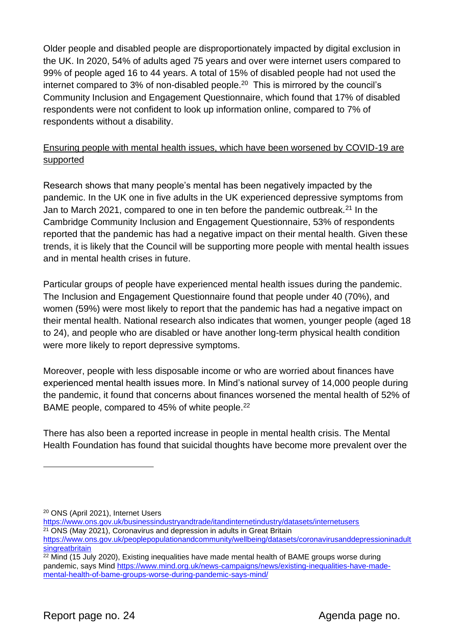Older people and disabled people are disproportionately impacted by digital exclusion in the UK. In 2020, 54% of adults aged 75 years and over were internet users compared to 99% of people aged 16 to 44 years. A total of 15% of disabled people had not used the internet compared to 3% of non-disabled people.<sup>20</sup> This is mirrored by the council's Community Inclusion and Engagement Questionnaire, which found that 17% of disabled respondents were not confident to look up information online, compared to 7% of respondents without a disability.

#### Ensuring people with mental health issues, which have been worsened by COVID-19 are supported

Research shows that many people's mental has been negatively impacted by the pandemic. In the UK one in five adults in the UK experienced depressive symptoms from Jan to March 2021, compared to one in ten before the pandemic outbreak.<sup>21</sup> In the Cambridge Community Inclusion and Engagement Questionnaire, 53% of respondents reported that the pandemic has had a negative impact on their mental health. Given these trends, it is likely that the Council will be supporting more people with mental health issues and in mental health crises in future.

Particular groups of people have experienced mental health issues during the pandemic. The Inclusion and Engagement Questionnaire found that people under 40 (70%), and women (59%) were most likely to report that the pandemic has had a negative impact on their mental health. National research also indicates that women, younger people (aged 18 to 24), and people who are disabled or have another long-term physical health condition were more likely to report depressive symptoms.

Moreover, people with less disposable income or who are worried about finances have experienced mental health issues more. In Mind's national survey of 14,000 people during the pandemic, it found that concerns about finances worsened the mental health of 52% of BAME people, compared to 45% of white people.<sup>22</sup>

There has also been a reported increase in people in mental health crisis. The Mental Health Foundation has found that suicidal thoughts have become more prevalent over the

<sup>20</sup> ONS (April 2021), Internet Users

<https://www.ons.gov.uk/businessindustryandtrade/itandinternetindustry/datasets/internetusers> <sup>21</sup> ONS (May 2021), Coronavirus and depression in adults in Great Britain

[https://www.ons.gov.uk/peoplepopulationandcommunity/wellbeing/datasets/coronavirusanddepressioninadult](https://www.ons.gov.uk/peoplepopulationandcommunity/wellbeing/datasets/coronavirusanddepressioninadultsingreatbritain) [singreatbritain](https://www.ons.gov.uk/peoplepopulationandcommunity/wellbeing/datasets/coronavirusanddepressioninadultsingreatbritain)

<sup>&</sup>lt;sup>22</sup> Mind (15 July 2020), Existing inequalities have made mental health of BAME groups worse during pandemic, says Mind [https://www.mind.org.uk/news-campaigns/news/existing-inequalities-have-made](https://www.mind.org.uk/news-campaigns/news/existing-inequalities-have-made-mental-health-of-bame-groups-worse-during-pandemic-says-mind/)[mental-health-of-bame-groups-worse-during-pandemic-says-mind/](https://www.mind.org.uk/news-campaigns/news/existing-inequalities-have-made-mental-health-of-bame-groups-worse-during-pandemic-says-mind/)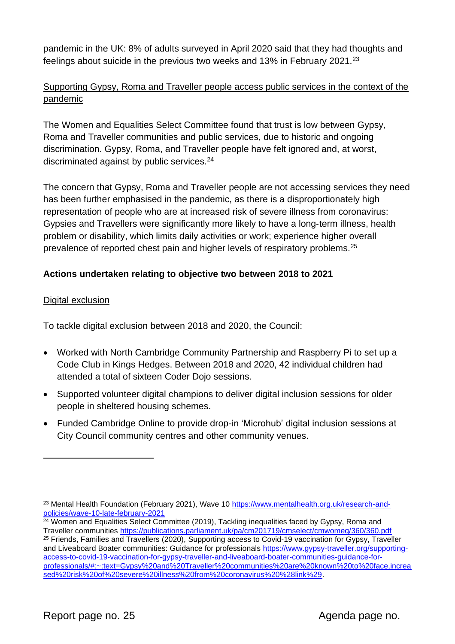pandemic in the UK: 8% of adults surveyed in April 2020 said that they had thoughts and feelings about suicide in the previous two weeks and 13% in February 2021.<sup>23</sup>

#### Supporting Gypsy, Roma and Traveller people access public services in the context of the pandemic

The Women and Equalities Select Committee found that trust is low between Gypsy, Roma and Traveller communities and public services, due to historic and ongoing discrimination. Gypsy, Roma, and Traveller people have felt ignored and, at worst, discriminated against by public services.<sup>24</sup>

The concern that Gypsy, Roma and Traveller people are not accessing services they need has been further emphasised in the pandemic, as there is a disproportionately high representation of people who are at increased risk of severe illness from coronavirus: Gypsies and Travellers were significantly more likely to have a long‐term illness, health problem or disability, which limits daily activities or work; experience higher overall prevalence of reported chest pain and higher levels of respiratory problems.<sup>25</sup>

#### **Actions undertaken relating to objective two between 2018 to 2021**

#### Digital exclusion

To tackle digital exclusion between 2018 and 2020, the Council:

- Worked with North Cambridge Community Partnership and Raspberry Pi to set up a Code Club in Kings Hedges. Between 2018 and 2020, 42 individual children had attended a total of sixteen Coder Dojo sessions.
- Supported volunteer digital champions to deliver digital inclusion sessions for older people in sheltered housing schemes.
- Funded Cambridge Online to provide drop-in 'Microhub' digital inclusion sessions at City Council community centres and other community venues.

<sup>23</sup> Mental Health Foundation (February 2021), Wave 10 [https://www.mentalhealth.org.uk/research-and](https://www.mentalhealth.org.uk/research-and-policies/wave-10-late-february-2021)[policies/wave-10-late-february-2021](https://www.mentalhealth.org.uk/research-and-policies/wave-10-late-february-2021)

<sup>&</sup>lt;sup>24</sup> Women and Equalities Select Committee (2019), Tackling inequalities faced by Gypsy, Roma and Traveller communities<https://publications.parliament.uk/pa/cm201719/cmselect/cmwomeq/360/360.pdf> <sup>25</sup> Friends, Families and Travellers (2020), Supporting access to Covid-19 vaccination for Gypsy, Traveller and Liveaboard Boater communities: Guidance for professionals [https://www.gypsy-traveller.org/supporting](https://www.gypsy-traveller.org/supporting-access-to-covid-19-vaccination-for-gypsy-traveller-and-liveaboard-boater-communities-guidance-for-professionals/#:~:text=Gypsy%20and%20Traveller%20communities%20are%20known%20to%20face,increased%20risk%20of%20severe%20illness%20from%20coronavirus%20%28link%29)[access-to-covid-19-vaccination-for-gypsy-traveller-and-liveaboard-boater-communities-guidance-for](https://www.gypsy-traveller.org/supporting-access-to-covid-19-vaccination-for-gypsy-traveller-and-liveaboard-boater-communities-guidance-for-professionals/#:~:text=Gypsy%20and%20Traveller%20communities%20are%20known%20to%20face,increased%20risk%20of%20severe%20illness%20from%20coronavirus%20%28link%29)[professionals/#:~:text=Gypsy%20and%20Traveller%20communities%20are%20known%20to%20face,increa](https://www.gypsy-traveller.org/supporting-access-to-covid-19-vaccination-for-gypsy-traveller-and-liveaboard-boater-communities-guidance-for-professionals/#:~:text=Gypsy%20and%20Traveller%20communities%20are%20known%20to%20face,increased%20risk%20of%20severe%20illness%20from%20coronavirus%20%28link%29) [sed%20risk%20of%20severe%20illness%20from%20coronavirus%20%28link%29.](https://www.gypsy-traveller.org/supporting-access-to-covid-19-vaccination-for-gypsy-traveller-and-liveaboard-boater-communities-guidance-for-professionals/#:~:text=Gypsy%20and%20Traveller%20communities%20are%20known%20to%20face,increased%20risk%20of%20severe%20illness%20from%20coronavirus%20%28link%29)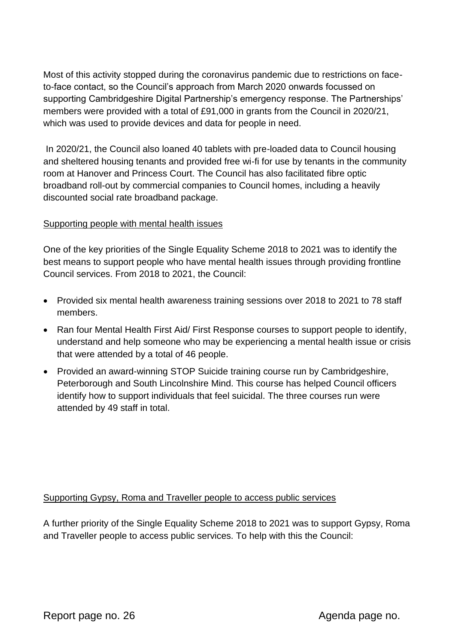Most of this activity stopped during the coronavirus pandemic due to restrictions on faceto-face contact, so the Council's approach from March 2020 onwards focussed on supporting Cambridgeshire Digital Partnership's emergency response. The Partnerships' members were provided with a total of £91,000 in grants from the Council in 2020/21, which was used to provide devices and data for people in need.

In 2020/21, the Council also loaned 40 tablets with pre-loaded data to Council housing and sheltered housing tenants and provided free wi-fi for use by tenants in the community room at Hanover and Princess Court. The Council has also facilitated fibre optic broadband roll-out by commercial companies to Council homes, including a heavily discounted social rate broadband package.

#### Supporting people with mental health issues

One of the key priorities of the Single Equality Scheme 2018 to 2021 was to identify the best means to support people who have mental health issues through providing frontline Council services. From 2018 to 2021, the Council:

- Provided six mental health awareness training sessions over 2018 to 2021 to 78 staff members.
- Ran four Mental Health First Aid/ First Response courses to support people to identify, understand and help someone who may be experiencing a mental health issue or crisis that were attended by a total of 46 people.
- Provided an award-winning STOP Suicide training course run by Cambridgeshire, Peterborough and South Lincolnshire Mind. This course has helped Council officers identify how to support individuals that feel suicidal. The three courses run were attended by 49 staff in total.

#### Supporting Gypsy, Roma and Traveller people to access public services

A further priority of the Single Equality Scheme 2018 to 2021 was to support Gypsy, Roma and Traveller people to access public services. To help with this the Council: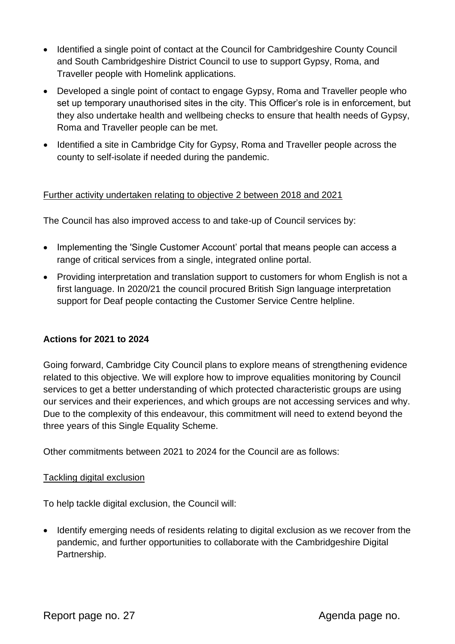- Identified a single point of contact at the Council for Cambridgeshire County Council and South Cambridgeshire District Council to use to support Gypsy, Roma, and Traveller people with Homelink applications.
- Developed a single point of contact to engage Gypsy, Roma and Traveller people who set up temporary unauthorised sites in the city. This Officer's role is in enforcement, but they also undertake health and wellbeing checks to ensure that health needs of Gypsy, Roma and Traveller people can be met.
- Identified a site in Cambridge City for Gypsy, Roma and Traveller people across the county to self-isolate if needed during the pandemic.

#### Further activity undertaken relating to objective 2 between 2018 and 2021

The Council has also improved access to and take-up of Council services by:

- Implementing the 'Single Customer Account' portal that means people can access a range of critical services from a single, integrated online portal.
- Providing interpretation and translation support to customers for whom English is not a first language. In 2020/21 the council procured British Sign language interpretation support for Deaf people contacting the Customer Service Centre helpline.

#### **Actions for 2021 to 2024**

Going forward, Cambridge City Council plans to explore means of strengthening evidence related to this objective. We will explore how to improve equalities monitoring by Council services to get a better understanding of which protected characteristic groups are using our services and their experiences, and which groups are not accessing services and why. Due to the complexity of this endeavour, this commitment will need to extend beyond the three years of this Single Equality Scheme.

Other commitments between 2021 to 2024 for the Council are as follows:

#### Tackling digital exclusion

To help tackle digital exclusion, the Council will:

• Identify emerging needs of residents relating to digital exclusion as we recover from the pandemic, and further opportunities to collaborate with the Cambridgeshire Digital Partnership.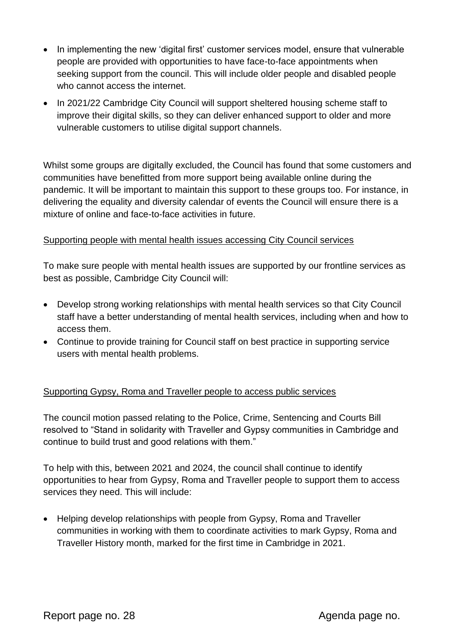- In implementing the new 'digital first' customer services model, ensure that vulnerable people are provided with opportunities to have face-to-face appointments when seeking support from the council. This will include older people and disabled people who cannot access the internet.
- In 2021/22 Cambridge City Council will support sheltered housing scheme staff to improve their digital skills, so they can deliver enhanced support to older and more vulnerable customers to utilise digital support channels.

Whilst some groups are digitally excluded, the Council has found that some customers and communities have benefitted from more support being available online during the pandemic. It will be important to maintain this support to these groups too. For instance, in delivering the equality and diversity calendar of events the Council will ensure there is a mixture of online and face-to-face activities in future.

#### Supporting people with mental health issues accessing City Council services

To make sure people with mental health issues are supported by our frontline services as best as possible, Cambridge City Council will:

- Develop strong working relationships with mental health services so that City Council staff have a better understanding of mental health services, including when and how to access them.
- Continue to provide training for Council staff on best practice in supporting service users with mental health problems.

#### Supporting Gypsy, Roma and Traveller people to access public services

The council motion passed relating to the Police, Crime, Sentencing and Courts Bill resolved to "Stand in solidarity with Traveller and Gypsy communities in Cambridge and continue to build trust and good relations with them."

To help with this, between 2021 and 2024, the council shall continue to identify opportunities to hear from Gypsy, Roma and Traveller people to support them to access services they need. This will include:

• Helping develop relationships with people from Gypsy, Roma and Traveller communities in working with them to coordinate activities to mark Gypsy, Roma and Traveller History month, marked for the first time in Cambridge in 2021.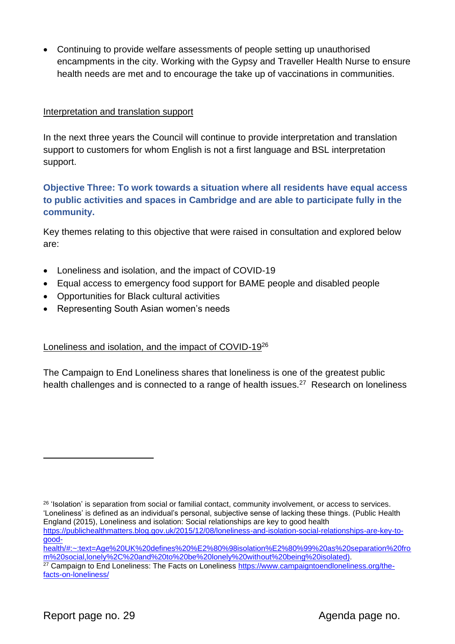• Continuing to provide welfare assessments of people setting up unauthorised encampments in the city. Working with the Gypsy and Traveller Health Nurse to ensure health needs are met and to encourage the take up of vaccinations in communities.

#### Interpretation and translation support

In the next three years the Council will continue to provide interpretation and translation support to customers for whom English is not a first language and BSL interpretation support.

#### **Objective Three: To work towards a situation where all residents have equal access to public activities and spaces in Cambridge and are able to participate fully in the community.**

Key themes relating to this objective that were raised in consultation and explored below are:

- Loneliness and isolation, and the impact of COVID-19
- Equal access to emergency food support for BAME people and disabled people
- Opportunities for Black cultural activities
- Representing South Asian women's needs

#### Loneliness and isolation, and the impact of COVID-19<sup>26</sup>

The Campaign to End Loneliness shares that loneliness is one of the greatest public health challenges and is connected to a range of health issues.<sup>27</sup> Research on loneliness

<sup>&</sup>lt;sup>26</sup> 'Isolation' is separation from social or familial contact, community involvement, or access to services. 'Loneliness' is defined as an individual's personal, subjective sense of lacking these things. (Public Health England (2015), Loneliness and isolation: Social relationships are key to good health [https://publichealthmatters.blog.gov.uk/2015/12/08/loneliness-and-isolation-social-relationships-are-key-to](https://publichealthmatters.blog.gov.uk/2015/12/08/loneliness-and-isolation-social-relationships-are-key-to-good-health/#:~:text=Age%20UK%20defines%20%E2%80%98isolation%E2%80%99%20as%20separation%20from%20social,lonely%2C%20and%20to%20be%20lonely%20without%20being%20isolated)[good-](https://publichealthmatters.blog.gov.uk/2015/12/08/loneliness-and-isolation-social-relationships-are-key-to-good-health/#:~:text=Age%20UK%20defines%20%E2%80%98isolation%E2%80%99%20as%20separation%20from%20social,lonely%2C%20and%20to%20be%20lonely%20without%20being%20isolated)

[health/#:~:text=Age%20UK%20defines%20%E2%80%98isolation%E2%80%99%20as%20separation%20fro](https://publichealthmatters.blog.gov.uk/2015/12/08/loneliness-and-isolation-social-relationships-are-key-to-good-health/#:~:text=Age%20UK%20defines%20%E2%80%98isolation%E2%80%99%20as%20separation%20from%20social,lonely%2C%20and%20to%20be%20lonely%20without%20being%20isolated) [m%20social,lonely%2C%20and%20to%20be%20lonely%20without%20being%20isolated\)](https://publichealthmatters.blog.gov.uk/2015/12/08/loneliness-and-isolation-social-relationships-are-key-to-good-health/#:~:text=Age%20UK%20defines%20%E2%80%98isolation%E2%80%99%20as%20separation%20from%20social,lonely%2C%20and%20to%20be%20lonely%20without%20being%20isolated).

<sup>&</sup>lt;sup>27</sup> Campaign to End Loneliness: The Facts on Loneliness [https://www.campaigntoendloneliness.org/the](https://www.campaigntoendloneliness.org/the-facts-on-loneliness/)[facts-on-loneliness/](https://www.campaigntoendloneliness.org/the-facts-on-loneliness/)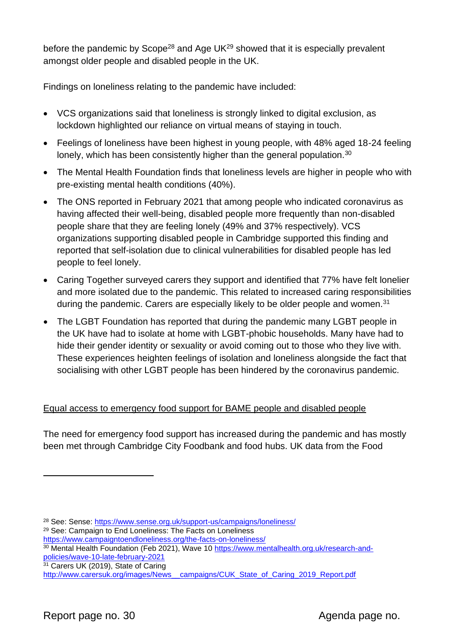before the pandemic by Scope<sup>28</sup> and Age UK<sup>29</sup> showed that it is especially prevalent amongst older people and disabled people in the UK.

Findings on loneliness relating to the pandemic have included:

- VCS organizations said that loneliness is strongly linked to digital exclusion, as lockdown highlighted our reliance on virtual means of staying in touch.
- Feelings of loneliness have been highest in young people, with 48% aged 18-24 feeling lonely, which has been consistently higher than the general population.<sup>30</sup>
- The Mental Health Foundation finds that loneliness levels are higher in people who with pre-existing mental health conditions (40%).
- The ONS reported in February 2021 that among people who indicated coronavirus as having affected their well-being, disabled people more frequently than non-disabled people share that they are feeling lonely (49% and 37% respectively). VCS organizations supporting disabled people in Cambridge supported this finding and reported that self-isolation due to clinical vulnerabilities for disabled people has led people to feel lonely.
- Caring Together surveyed carers they support and identified that 77% have felt lonelier and more isolated due to the pandemic. This related to increased caring responsibilities during the pandemic. Carers are especially likely to be older people and women.<sup>31</sup>
- The LGBT Foundation has reported that during the pandemic many LGBT people in the UK have had to isolate at home with LGBT-phobic households. Many have had to hide their gender identity or sexuality or avoid coming out to those who they live with. These experiences heighten feelings of isolation and loneliness alongside the fact that socialising with other LGBT people has been hindered by the coronavirus pandemic.

### Equal access to emergency food support for BAME people and disabled people

The need for emergency food support has increased during the pandemic and has mostly been met through Cambridge City Foodbank and food hubs. UK data from the Food

<sup>28</sup> See: Sense:<https://www.sense.org.uk/support-us/campaigns/loneliness/>

<sup>29</sup> See: Campaign to End Loneliness: The Facts on Loneliness

<https://www.campaigntoendloneliness.org/the-facts-on-loneliness/>

<sup>30</sup> Mental Health Foundation (Feb 2021), Wave 10 [https://www.mentalhealth.org.uk/research-and](https://www.mentalhealth.org.uk/research-and-policies/wave-10-late-february-2021)[policies/wave-10-late-february-2021](https://www.mentalhealth.org.uk/research-and-policies/wave-10-late-february-2021)

<sup>&</sup>lt;sup>31</sup> Carers UK (2019), State of Caring

http://www.carersuk.org/images/News\_campaigns/CUK\_State\_of\_Caring\_2019\_Report.pdf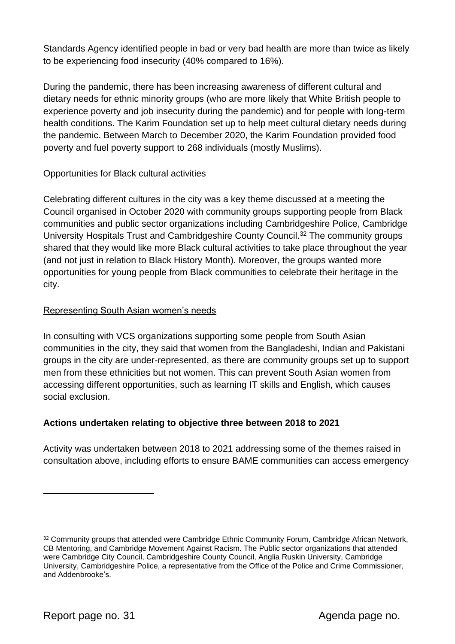Standards Agency identified people in bad or very bad health are more than twice as likely to be experiencing food insecurity (40% compared to 16%).

During the pandemic, there has been increasing awareness of different cultural and dietary needs for ethnic minority groups (who are more likely that White British people to experience poverty and job insecurity during the pandemic) and for people with long-term health conditions. The Karim Foundation set up to help meet cultural dietary needs during the pandemic. Between March to December 2020, the Karim Foundation provided food poverty and fuel poverty support to 268 individuals (mostly Muslims).

#### Opportunities for Black cultural activities

Celebrating different cultures in the city was a key theme discussed at a meeting the Council organised in October 2020 with community groups supporting people from Black communities and public sector organizations including Cambridgeshire Police, Cambridge University Hospitals Trust and Cambridgeshire County Council.<sup>32</sup> The community groups shared that they would like more Black cultural activities to take place throughout the year (and not just in relation to Black History Month). Moreover, the groups wanted more opportunities for young people from Black communities to celebrate their heritage in the city.

#### Representing South Asian women's needs

In consulting with VCS organizations supporting some people from South Asian communities in the city, they said that women from the Bangladeshi, Indian and Pakistani groups in the city are under-represented, as there are community groups set up to support men from these ethnicities but not women. This can prevent South Asian women from accessing different opportunities, such as learning IT skills and English, which causes social exclusion.

### **Actions undertaken relating to objective three between 2018 to 2021**

Activity was undertaken between 2018 to 2021 addressing some of the themes raised in consultation above, including efforts to ensure BAME communities can access emergency

<sup>&</sup>lt;sup>32</sup> Community groups that attended were Cambridge Ethnic Community Forum, Cambridge African Network, CB Mentoring, and Cambridge Movement Against Racism. The Public sector organizations that attended were Cambridge City Council, Cambridgeshire County Council, Anglia Ruskin University, Cambridge University, Cambridgeshire Police, a representative from the Office of the Police and Crime Commissioner, and Addenbrooke's.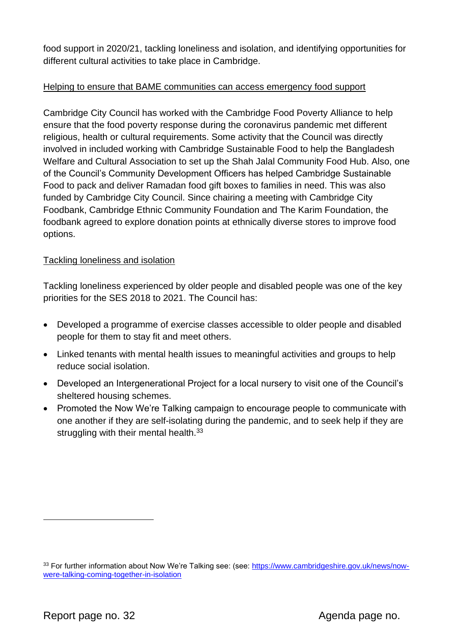food support in 2020/21, tackling loneliness and isolation, and identifying opportunities for different cultural activities to take place in Cambridge.

#### Helping to ensure that BAME communities can access emergency food support

Cambridge City Council has worked with the Cambridge Food Poverty Alliance to help ensure that the food poverty response during the coronavirus pandemic met different religious, health or cultural requirements. Some activity that the Council was directly involved in included working with Cambridge Sustainable Food to help the Bangladesh Welfare and Cultural Association to set up the Shah Jalal Community Food Hub. Also, one of the Council's Community Development Officers has helped Cambridge Sustainable Food to pack and deliver Ramadan food gift boxes to families in need. This was also funded by Cambridge City Council. Since chairing a meeting with Cambridge City Foodbank, Cambridge Ethnic Community Foundation and The Karim Foundation, the foodbank agreed to explore donation points at ethnically diverse stores to improve food options.

#### Tackling loneliness and isolation

Tackling loneliness experienced by older people and disabled people was one of the key priorities for the SES 2018 to 2021. The Council has:

- Developed a programme of exercise classes accessible to older people and disabled people for them to stay fit and meet others.
- Linked tenants with mental health issues to meaningful activities and groups to help reduce social isolation.
- Developed an Intergenerational Project for a local nursery to visit one of the Council's sheltered housing schemes.
- Promoted the Now We're Talking campaign to encourage people to communicate with one another if they are self-isolating during the pandemic, and to seek help if they are struggling with their mental health.<sup>33</sup>

<sup>33</sup> For further information about Now We're Talking see: (see: [https://www.cambridgeshire.gov.uk/news/now](https://www.cambridgeshire.gov.uk/news/now-were-talking-coming-together-in-isolation)[were-talking-coming-together-in-isolation](https://www.cambridgeshire.gov.uk/news/now-were-talking-coming-together-in-isolation)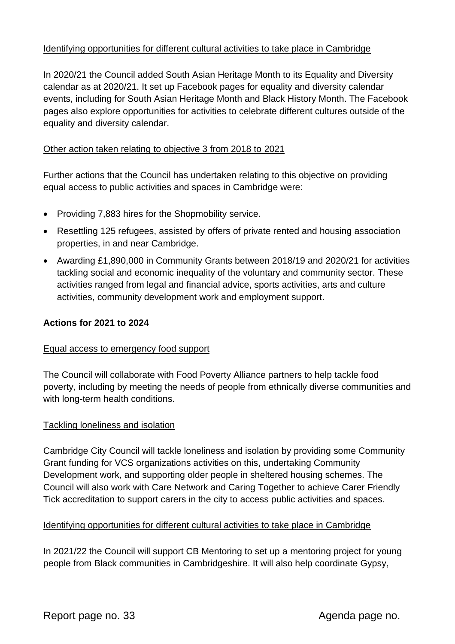#### Identifying opportunities for different cultural activities to take place in Cambridge

In 2020/21 the Council added South Asian Heritage Month to its Equality and Diversity calendar as at 2020/21. It set up Facebook pages for equality and diversity calendar events, including for South Asian Heritage Month and Black History Month. The Facebook pages also explore opportunities for activities to celebrate different cultures outside of the equality and diversity calendar.

#### Other action taken relating to objective 3 from 2018 to 2021

Further actions that the Council has undertaken relating to this objective on providing equal access to public activities and spaces in Cambridge were:

- Providing 7,883 hires for the Shopmobility service.
- Resettling 125 refugees, assisted by offers of private rented and housing association properties, in and near Cambridge.
- Awarding £1,890,000 in Community Grants between 2018/19 and 2020/21 for activities tackling social and economic inequality of the voluntary and community sector. These activities ranged from legal and financial advice, sports activities, arts and culture activities, community development work and employment support.

#### **Actions for 2021 to 2024**

#### Equal access to emergency food support

The Council will collaborate with Food Poverty Alliance partners to help tackle food poverty, including by meeting the needs of people from ethnically diverse communities and with long-term health conditions.

#### Tackling loneliness and isolation

Cambridge City Council will tackle loneliness and isolation by providing some Community Grant funding for VCS organizations activities on this, undertaking Community Development work, and supporting older people in sheltered housing schemes. The Council will also work with Care Network and Caring Together to achieve Carer Friendly Tick accreditation to support carers in the city to access public activities and spaces.

#### Identifying opportunities for different cultural activities to take place in Cambridge

In 2021/22 the Council will support CB Mentoring to set up a mentoring project for young people from Black communities in Cambridgeshire. It will also help coordinate Gypsy,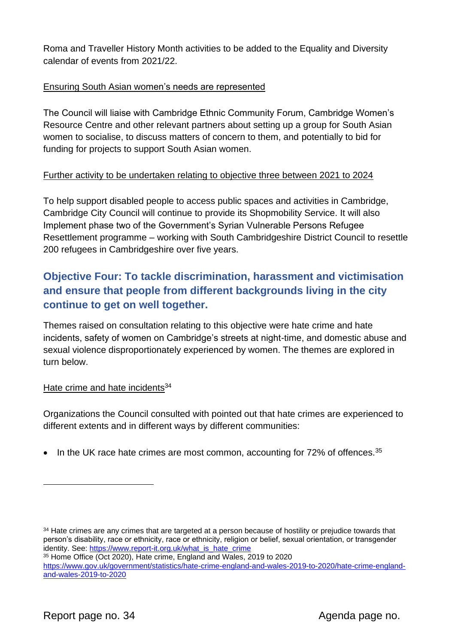Roma and Traveller History Month activities to be added to the Equality and Diversity calendar of events from 2021/22.

#### Ensuring South Asian women's needs are represented

The Council will liaise with Cambridge Ethnic Community Forum, Cambridge Women's Resource Centre and other relevant partners about setting up a group for South Asian women to socialise, to discuss matters of concern to them, and potentially to bid for funding for projects to support South Asian women.

#### Further activity to be undertaken relating to objective three between 2021 to 2024

To help support disabled people to access public spaces and activities in Cambridge, Cambridge City Council will continue to provide its Shopmobility Service. It will also Implement phase two of the Government's Syrian Vulnerable Persons Refugee Resettlement programme – working with South Cambridgeshire District Council to resettle 200 refugees in Cambridgeshire over five years.

## **Objective Four: To tackle discrimination, harassment and victimisation and ensure that people from different backgrounds living in the city continue to get on well together.**

Themes raised on consultation relating to this objective were hate crime and hate incidents, safety of women on Cambridge's streets at night-time, and domestic abuse and sexual violence disproportionately experienced by women. The themes are explored in turn below.

#### Hate crime and hate incidents<sup>34</sup>

Organizations the Council consulted with pointed out that hate crimes are experienced to different extents and in different ways by different communities:

• In the UK race hate crimes are most common, accounting for  $72\%$  of offences.  $35$ 

<sup>35</sup> Home Office (Oct 2020), Hate crime, England and Wales, 2019 to 2020

<sup>&</sup>lt;sup>34</sup> Hate crimes are any crimes that are targeted at a person because of hostility or prejudice towards that person's disability, race or ethnicity, race or ethnicity, religion or belief, sexual orientation, or transgender identity. See: [https://www.report-it.org.uk/what\\_is\\_hate\\_crime](https://www.report-it.org.uk/what_is_hate_crime)

[https://www.gov.uk/government/statistics/hate-crime-england-and-wales-2019-to-2020/hate-crime-england](https://www.gov.uk/government/statistics/hate-crime-england-and-wales-2019-to-2020/hate-crime-england-and-wales-2019-to-2020)[and-wales-2019-to-2020](https://www.gov.uk/government/statistics/hate-crime-england-and-wales-2019-to-2020/hate-crime-england-and-wales-2019-to-2020)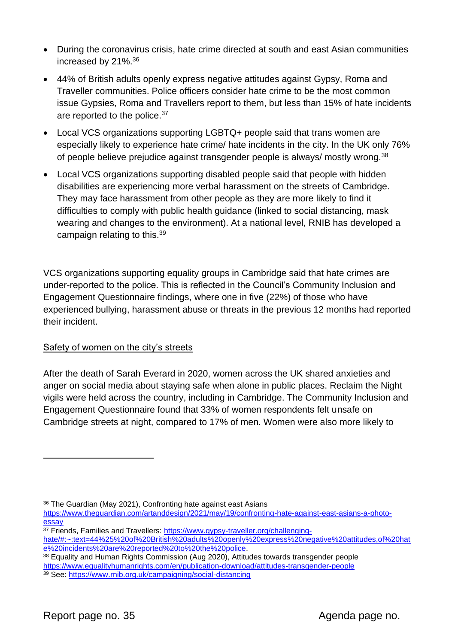- During the coronavirus crisis, hate crime directed at south and east Asian communities increased by 21%.<sup>36</sup>
- 44% of British adults openly express negative attitudes against Gypsy, Roma and Traveller communities. Police officers consider hate crime to be the most common issue Gypsies, Roma and Travellers report to them, but less than 15% of hate incidents are reported to the police.<sup>37</sup>
- Local VCS organizations supporting LGBTQ+ people said that trans women are especially likely to experience hate crime/ hate incidents in the city. In the UK only 76% of people believe prejudice against transgender people is always/ mostly wrong.<sup>38</sup>
- Local VCS organizations supporting disabled people said that people with hidden disabilities are experiencing more verbal harassment on the streets of Cambridge. They may face harassment from other people as they are more likely to find it difficulties to comply with public health guidance (linked to social distancing, mask wearing and changes to the environment). At a national level, RNIB has developed a campaign relating to this.<sup>39</sup>

VCS organizations supporting equality groups in Cambridge said that hate crimes are under-reported to the police. This is reflected in the Council's Community Inclusion and Engagement Questionnaire findings, where one in five (22%) of those who have experienced bullying, harassment abuse or threats in the previous 12 months had reported their incident.

#### Safety of women on the city's streets

After the death of Sarah Everard in 2020, women across the UK shared anxieties and anger on social media about staying safe when alone in public places. Reclaim the Night vigils were held across the country, including in Cambridge. The Community Inclusion and Engagement Questionnaire found that 33% of women respondents felt unsafe on Cambridge streets at night, compared to 17% of men. Women were also more likely to

<sup>36</sup> The Guardian (May 2021), Confronting hate against east Asians

[https://www.theguardian.com/artanddesign/2021/may/19/confronting-hate-against-east-asians-a-photo](https://www.theguardian.com/artanddesign/2021/may/19/confronting-hate-against-east-asians-a-photo-essay)[essay](https://www.theguardian.com/artanddesign/2021/may/19/confronting-hate-against-east-asians-a-photo-essay)

<sup>37</sup> Friends, Families and Travellers: [https://www.gypsy-traveller.org/challenging](https://www.gypsy-traveller.org/challenging-hate/#:~:text=44%25%20of%20British%20adults%20openly%20express%20negative%20attitudes,of%20hate%20incidents%20are%20reported%20to%20the%20police)[hate/#:~:text=44%25%20of%20British%20adults%20openly%20express%20negative%20attitudes,of%20hat](https://www.gypsy-traveller.org/challenging-hate/#:~:text=44%25%20of%20British%20adults%20openly%20express%20negative%20attitudes,of%20hate%20incidents%20are%20reported%20to%20the%20police) [e%20incidents%20are%20reported%20to%20the%20police.](https://www.gypsy-traveller.org/challenging-hate/#:~:text=44%25%20of%20British%20adults%20openly%20express%20negative%20attitudes,of%20hate%20incidents%20are%20reported%20to%20the%20police)

<sup>&</sup>lt;sup>38</sup> Equality and Human Rights Commission (Aug 2020), Attitudes towards transgender people <https://www.equalityhumanrights.com/en/publication-download/attitudes-transgender-people>

<sup>39</sup> See:<https://www.rnib.org.uk/campaigning/social-distancing>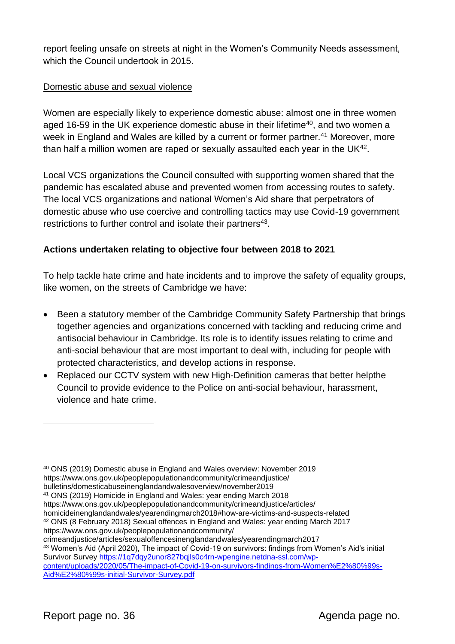report feeling unsafe on streets at night in the Women's Community Needs assessment, which the Council undertook in 2015.

#### Domestic abuse and sexual violence

Women are especially likely to experience domestic abuse: almost one in three women aged 16-59 in the UK experience domestic abuse in their lifetime<sup>40</sup>, and two women a week in England and Wales are killed by a current or former partner.<sup>41</sup> Moreover, more than half a million women are raped or sexually assaulted each year in the UK<sup>42</sup>.

Local VCS organizations the Council consulted with supporting women shared that the pandemic has escalated abuse and prevented women from accessing routes to safety. The local VCS organizations and national Women's Aid share that perpetrators of domestic abuse who use coercive and controlling tactics may use Covid-19 government restrictions to further control and isolate their partners $43$ .

#### **Actions undertaken relating to objective four between 2018 to 2021**

To help tackle hate crime and hate incidents and to improve the safety of equality groups, like women, on the streets of Cambridge we have:

- Been a statutory member of the Cambridge Community Safety Partnership that brings together agencies and organizations concerned with tackling and reducing crime and antisocial behaviour in Cambridge. Its role is to identify issues relating to crime and anti-social behaviour that are most important to deal with, including for people with protected characteristics, and develop actions in response.
- Replaced our CCTV system with new High-Definition cameras that better helpthe Council to provide evidence to the Police on anti-social behaviour, harassment, violence and hate crime.

<sup>40</sup> ONS (2019) Domestic abuse in England and Wales overview: November 2019 https://www.ons.gov.uk/peoplepopulationandcommunity/crimeandjustice/ bulletins/domesticabuseinenglandandwalesoverview/november2019 <sup>41</sup> ONS (2019) Homicide in England and Wales: year ending March 2018 https://www.ons.gov.uk/peoplepopulationandcommunity/crimeandjustice/articles/ homicideinenglandandwales/yearendingmarch2018#how-are-victims-and-suspects-related <sup>42</sup> ONS (8 February 2018) Sexual offences in England and Wales: year ending March 2017 https://www.ons.gov.uk/peoplepopulationandcommunity/ crimeandjustice/articles/sexualoffencesinenglandandwales/yearendingmarch2017 <sup>43</sup> Women's Aid (April 2020), The impact of Covid-19 on survivors: findings from Women's Aid's initial Survivor Survey [https://1q7dqy2unor827bqjls0c4rn-wpengine.netdna-ssl.com/wp](https://1q7dqy2unor827bqjls0c4rn-wpengine.netdna-ssl.com/wp-content/uploads/2020/05/The-impact-of-Covid-19-on-survivors-findings-from-Women%E2%80%99s-Aid%E2%80%99s-initial-Survivor-Survey.pdf)[content/uploads/2020/05/The-impact-of-Covid-19-on-survivors-findings-from-Women%E2%80%99s-](https://1q7dqy2unor827bqjls0c4rn-wpengine.netdna-ssl.com/wp-content/uploads/2020/05/The-impact-of-Covid-19-on-survivors-findings-from-Women%E2%80%99s-Aid%E2%80%99s-initial-Survivor-Survey.pdf)[Aid%E2%80%99s-initial-Survivor-Survey.pdf](https://1q7dqy2unor827bqjls0c4rn-wpengine.netdna-ssl.com/wp-content/uploads/2020/05/The-impact-of-Covid-19-on-survivors-findings-from-Women%E2%80%99s-Aid%E2%80%99s-initial-Survivor-Survey.pdf)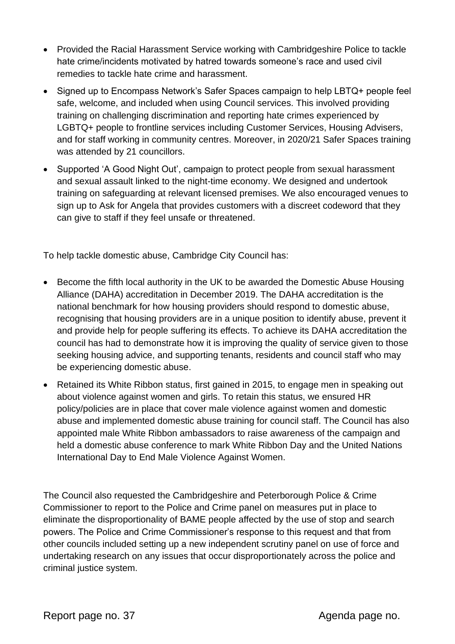- Provided the Racial Harassment Service working with Cambridgeshire Police to tackle hate crime/incidents motivated by hatred towards someone's race and used civil remedies to tackle hate crime and harassment.
- Signed up to Encompass Network's Safer Spaces campaign to help LBTQ+ people feel safe, welcome, and included when using Council services. This involved providing training on challenging discrimination and reporting hate crimes experienced by LGBTQ+ people to frontline services including Customer Services, Housing Advisers, and for staff working in community centres. Moreover, in 2020/21 Safer Spaces training was attended by 21 councillors.
- Supported 'A Good Night Out', campaign to protect people from sexual harassment and sexual assault linked to the night-time economy. We designed and undertook training on safeguarding at relevant licensed premises. We also encouraged venues to sign up to Ask for Angela that provides customers with a discreet codeword that they can give to staff if they feel unsafe or threatened.

To help tackle domestic abuse, Cambridge City Council has:

- Become the fifth local authority in the UK to be awarded the Domestic Abuse Housing Alliance (DAHA) accreditation in December 2019. The DAHA accreditation is the national benchmark for how housing providers should respond to domestic abuse, recognising that housing providers are in a unique position to identify abuse, prevent it and provide help for people suffering its effects. To achieve its DAHA accreditation the council has had to demonstrate how it is improving the quality of service given to those seeking housing advice, and supporting tenants, residents and council staff who may be experiencing domestic abuse.
- Retained its White Ribbon status, first gained in 2015, to engage men in speaking out about violence against women and girls. To retain this status, we ensured HR policy/policies are in place that cover male violence against women and domestic abuse and implemented domestic abuse training for council staff. The Council has also appointed male White Ribbon ambassadors to raise awareness of the campaign and held a domestic abuse conference to mark White Ribbon Day and the United Nations International Day to End Male Violence Against Women.

The Council also requested the Cambridgeshire and Peterborough Police & Crime Commissioner to report to the Police and Crime panel on measures put in place to eliminate the disproportionality of BAME people affected by the use of stop and search powers. The Police and Crime Commissioner's response to this request and that from other councils included setting up a new independent scrutiny panel on use of force and undertaking research on any issues that occur disproportionately across the police and criminal justice system.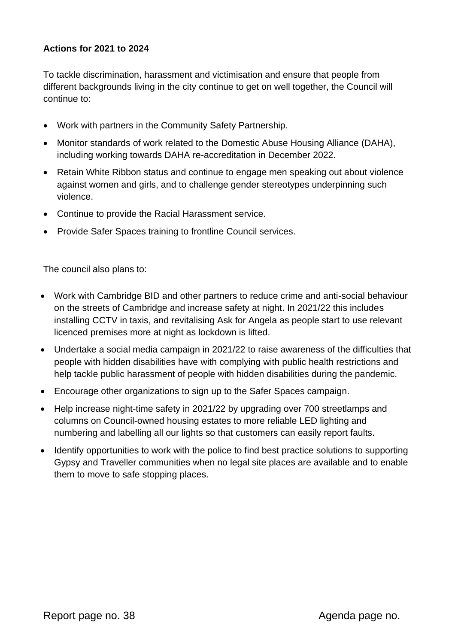#### **Actions for 2021 to 2024**

To tackle discrimination, harassment and victimisation and ensure that people from different backgrounds living in the city continue to get on well together, the Council will continue to:

- Work with partners in the Community Safety Partnership.
- Monitor standards of work related to the Domestic Abuse Housing Alliance (DAHA), including working towards DAHA re-accreditation in December 2022.
- Retain White Ribbon status and continue to engage men speaking out about violence against women and girls, and to challenge gender stereotypes underpinning such violence.
- Continue to provide the Racial Harassment service.
- Provide Safer Spaces training to frontline Council services.

The council also plans to:

- Work with Cambridge BID and other partners to reduce crime and anti-social behaviour on the streets of Cambridge and increase safety at night. In 2021/22 this includes installing CCTV in taxis, and revitalising Ask for Angela as people start to use relevant licenced premises more at night as lockdown is lifted.
- Undertake a social media campaign in 2021/22 to raise awareness of the difficulties that people with hidden disabilities have with complying with public health restrictions and help tackle public harassment of people with hidden disabilities during the pandemic.
- Encourage other organizations to sign up to the Safer Spaces campaign.
- Help increase night-time safety in 2021/22 by upgrading over 700 streetlamps and columns on Council-owned housing estates to more reliable LED lighting and numbering and labelling all our lights so that customers can easily report faults.
- Identify opportunities to work with the police to find best practice solutions to supporting Gypsy and Traveller communities when no legal site places are available and to enable them to move to safe stopping places.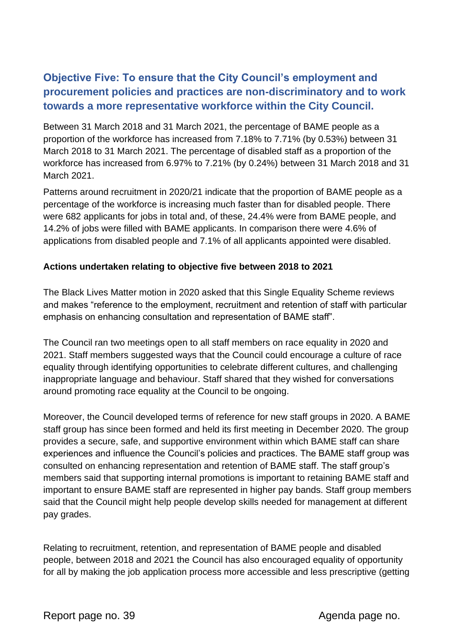## **Objective Five: To ensure that the City Council's employment and procurement policies and practices are non-discriminatory and to work towards a more representative workforce within the City Council.**

Between 31 March 2018 and 31 March 2021, the percentage of BAME people as a proportion of the workforce has increased from 7.18% to 7.71% (by 0.53%) between 31 March 2018 to 31 March 2021. The percentage of disabled staff as a proportion of the workforce has increased from 6.97% to 7.21% (by 0.24%) between 31 March 2018 and 31 March 2021.

Patterns around recruitment in 2020/21 indicate that the proportion of BAME people as a percentage of the workforce is increasing much faster than for disabled people. There were 682 applicants for jobs in total and, of these, 24.4% were from BAME people, and 14.2% of jobs were filled with BAME applicants. In comparison there were 4.6% of applications from disabled people and 7.1% of all applicants appointed were disabled.

#### **Actions undertaken relating to objective five between 2018 to 2021**

The Black Lives Matter motion in 2020 asked that this Single Equality Scheme reviews and makes "reference to the employment, recruitment and retention of staff with particular emphasis on enhancing consultation and representation of BAME staff".

The Council ran two meetings open to all staff members on race equality in 2020 and 2021. Staff members suggested ways that the Council could encourage a culture of race equality through identifying opportunities to celebrate different cultures, and challenging inappropriate language and behaviour. Staff shared that they wished for conversations around promoting race equality at the Council to be ongoing.

Moreover, the Council developed terms of reference for new staff groups in 2020. A BAME staff group has since been formed and held its first meeting in December 2020. The group provides a secure, safe, and supportive environment within which BAME staff can share experiences and influence the Council's policies and practices. The BAME staff group was consulted on enhancing representation and retention of BAME staff. The staff group's members said that supporting internal promotions is important to retaining BAME staff and important to ensure BAME staff are represented in higher pay bands. Staff group members said that the Council might help people develop skills needed for management at different pay grades.

Relating to recruitment, retention, and representation of BAME people and disabled people, between 2018 and 2021 the Council has also encouraged equality of opportunity for all by making the job application process more accessible and less prescriptive (getting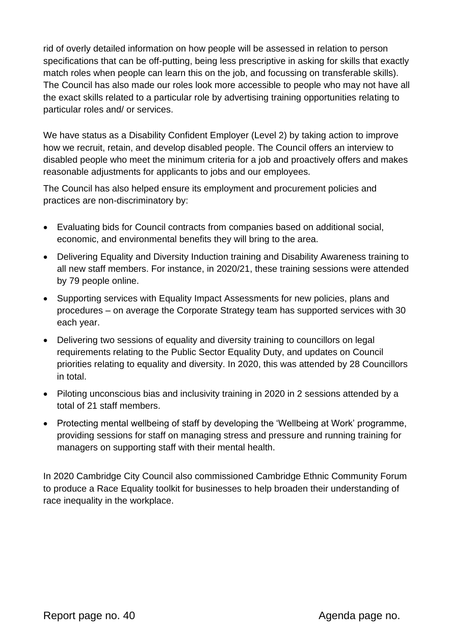rid of overly detailed information on how people will be assessed in relation to person specifications that can be off-putting, being less prescriptive in asking for skills that exactly match roles when people can learn this on the job, and focussing on transferable skills). The Council has also made our roles look more accessible to people who may not have all the exact skills related to a particular role by advertising training opportunities relating to particular roles and/ or services.

We have status as a Disability Confident Employer (Level 2) by taking action to improve how we recruit, retain, and develop disabled people. The Council offers an interview to disabled people who meet the minimum criteria for a job and proactively offers and makes reasonable adjustments for applicants to jobs and our employees.

The Council has also helped ensure its employment and procurement policies and practices are non-discriminatory by:

- Evaluating bids for Council contracts from companies based on additional social, economic, and environmental benefits they will bring to the area.
- Delivering Equality and Diversity Induction training and Disability Awareness training to all new staff members. For instance, in 2020/21, these training sessions were attended by 79 people online.
- Supporting services with Equality Impact Assessments for new policies, plans and procedures – on average the Corporate Strategy team has supported services with 30 each year.
- Delivering two sessions of equality and diversity training to councillors on legal requirements relating to the Public Sector Equality Duty, and updates on Council priorities relating to equality and diversity. In 2020, this was attended by 28 Councillors in total.
- Piloting unconscious bias and inclusivity training in 2020 in 2 sessions attended by a total of 21 staff members.
- Protecting mental wellbeing of staff by developing the 'Wellbeing at Work' programme, providing sessions for staff on managing stress and pressure and running training for managers on supporting staff with their mental health.

In 2020 Cambridge City Council also commissioned Cambridge Ethnic Community Forum to produce a Race Equality toolkit for businesses to help broaden their understanding of race inequality in the workplace.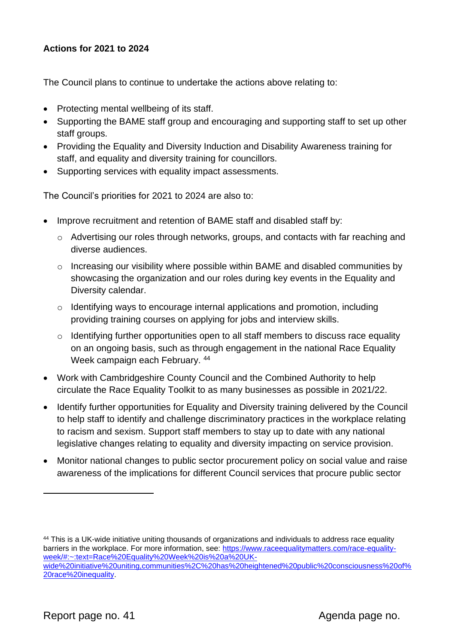#### **Actions for 2021 to 2024**

The Council plans to continue to undertake the actions above relating to:

- Protecting mental wellbeing of its staff.
- Supporting the BAME staff group and encouraging and supporting staff to set up other staff groups.
- Providing the Equality and Diversity Induction and Disability Awareness training for staff, and equality and diversity training for councillors.
- Supporting services with equality impact assessments.

The Council's priorities for 2021 to 2024 are also to:

- Improve recruitment and retention of BAME staff and disabled staff by:
	- o Advertising our roles through networks, groups, and contacts with far reaching and diverse audiences.
	- o Increasing our visibility where possible within BAME and disabled communities by showcasing the organization and our roles during key events in the Equality and Diversity calendar.
	- o Identifying ways to encourage internal applications and promotion, including providing training courses on applying for jobs and interview skills.
	- o Identifying further opportunities open to all staff members to discuss race equality on an ongoing basis, such as through engagement in the national Race Equality Week campaign each February. <sup>44</sup>
- Work with Cambridgeshire County Council and the Combined Authority to help circulate the Race Equality Toolkit to as many businesses as possible in 2021/22.
- Identify further opportunities for Equality and Diversity training delivered by the Council to help staff to identify and challenge discriminatory practices in the workplace relating to racism and sexism. Support staff members to stay up to date with any national legislative changes relating to equality and diversity impacting on service provision.
- Monitor national changes to public sector procurement policy on social value and raise awareness of the implications for different Council services that procure public sector

<sup>44</sup> This is a UK-wide initiative uniting thousands of organizations and individuals to address race equality barriers in the workplace. For more information, see: [https://www.raceequalitymatters.com/race-equality](https://www.raceequalitymatters.com/race-equality-week/#:~:text=Race%20Equality%20Week%20is%20a%20UK-wide%20initiative%20uniting,communities%2C%20has%20heightened%20public%20consciousness%20of%20race%20inequality)[week/#:~:text=Race%20Equality%20Week%20is%20a%20UK](https://www.raceequalitymatters.com/race-equality-week/#:~:text=Race%20Equality%20Week%20is%20a%20UK-wide%20initiative%20uniting,communities%2C%20has%20heightened%20public%20consciousness%20of%20race%20inequality)[wide%20initiative%20uniting,communities%2C%20has%20heightened%20public%20consciousness%20of%](https://www.raceequalitymatters.com/race-equality-week/#:~:text=Race%20Equality%20Week%20is%20a%20UK-wide%20initiative%20uniting,communities%2C%20has%20heightened%20public%20consciousness%20of%20race%20inequality) [20race%20inequality.](https://www.raceequalitymatters.com/race-equality-week/#:~:text=Race%20Equality%20Week%20is%20a%20UK-wide%20initiative%20uniting,communities%2C%20has%20heightened%20public%20consciousness%20of%20race%20inequality)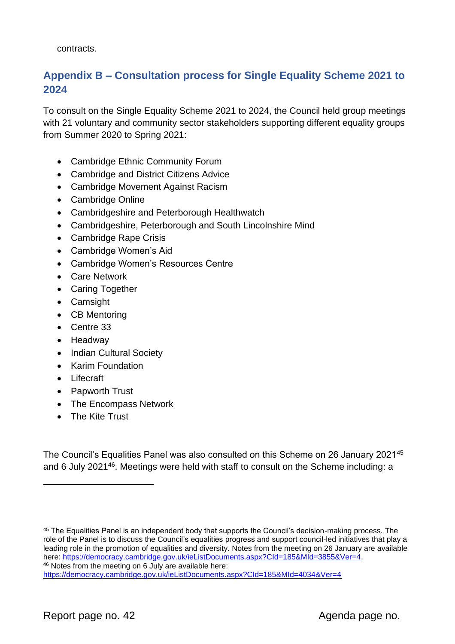contracts.

## **Appendix B – Consultation process for Single Equality Scheme 2021 to 2024**

To consult on the Single Equality Scheme 2021 to 2024, the Council held group meetings with 21 voluntary and community sector stakeholders supporting different equality groups from Summer 2020 to Spring 2021:

- Cambridge Ethnic Community Forum
- Cambridge and District Citizens Advice
- Cambridge Movement Against Racism
- Cambridge Online
- Cambridgeshire and Peterborough Healthwatch
- Cambridgeshire, Peterborough and South Lincolnshire Mind
- Cambridge Rape Crisis
- Cambridge Women's Aid
- Cambridge Women's Resources Centre
- Care Network
- Caring Together
- Camsight
- CB Mentoring
- Centre 33
- Headway
- Indian Cultural Society
- Karim Foundation
- Lifecraft
- Papworth Trust
- The Encompass Network
- The Kite Trust

The Council's Equalities Panel was also consulted on this Scheme on 26 January 2021<sup>45</sup> and 6 July 2021<sup>46</sup>. Meetings were held with staff to consult on the Scheme including: a

<sup>45</sup> The Equalities Panel is an independent body that supports the Council's decision-making process. The role of the Panel is to discuss the Council's equalities progress and support council-led initiatives that play a leading role in the promotion of equalities and diversity. Notes from the meeting on 26 January are available here: [https://democracy.cambridge.gov.uk/ieListDocuments.aspx?CId=185&MId=3855&Ver=4.](https://democracy.cambridge.gov.uk/ieListDocuments.aspx?CId=185&MId=3855&Ver=4) <sup>46</sup> Notes from the meeting on 6 July are available here:

<https://democracy.cambridge.gov.uk/ieListDocuments.aspx?CId=185&MId=4034&Ver=4>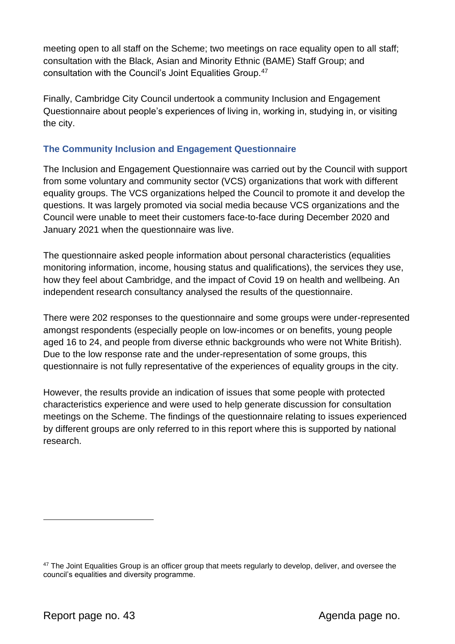meeting open to all staff on the Scheme; two meetings on race equality open to all staff; consultation with the Black, Asian and Minority Ethnic (BAME) Staff Group; and consultation with the Council's Joint Equalities Group.<sup>47</sup>

Finally, Cambridge City Council undertook a community Inclusion and Engagement Questionnaire about people's experiences of living in, working in, studying in, or visiting the city.

#### **The Community Inclusion and Engagement Questionnaire**

The Inclusion and Engagement Questionnaire was carried out by the Council with support from some voluntary and community sector (VCS) organizations that work with different equality groups. The VCS organizations helped the Council to promote it and develop the questions. It was largely promoted via social media because VCS organizations and the Council were unable to meet their customers face-to-face during December 2020 and January 2021 when the questionnaire was live.

The questionnaire asked people information about personal characteristics (equalities monitoring information, income, housing status and qualifications), the services they use, how they feel about Cambridge, and the impact of Covid 19 on health and wellbeing. An independent research consultancy analysed the results of the questionnaire.

There were 202 responses to the questionnaire and some groups were under-represented amongst respondents (especially people on low-incomes or on benefits, young people aged 16 to 24, and people from diverse ethnic backgrounds who were not White British). Due to the low response rate and the under-representation of some groups, this questionnaire is not fully representative of the experiences of equality groups in the city.

However, the results provide an indication of issues that some people with protected characteristics experience and were used to help generate discussion for consultation meetings on the Scheme. The findings of the questionnaire relating to issues experienced by different groups are only referred to in this report where this is supported by national research.

<sup>&</sup>lt;sup>47</sup> The Joint Equalities Group is an officer group that meets regularly to develop, deliver, and oversee the council's equalities and diversity programme.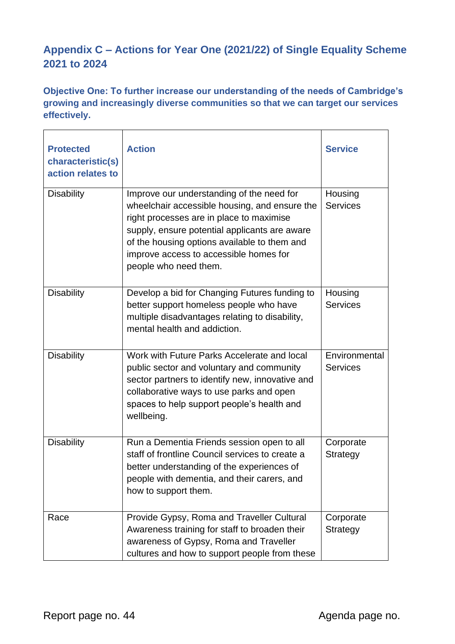## **Appendix C – Actions for Year One (2021/22) of Single Equality Scheme 2021 to 2024**

**Objective One: To further increase our understanding of the needs of Cambridge's growing and increasingly diverse communities so that we can target our services effectively.** 

| <b>Protected</b><br>characteristic(s)<br>action relates to | <b>Action</b>                                                                                                                                                                                                                                                                                              | <b>Service</b>                   |
|------------------------------------------------------------|------------------------------------------------------------------------------------------------------------------------------------------------------------------------------------------------------------------------------------------------------------------------------------------------------------|----------------------------------|
| <b>Disability</b>                                          | Improve our understanding of the need for<br>wheelchair accessible housing, and ensure the<br>right processes are in place to maximise<br>supply, ensure potential applicants are aware<br>of the housing options available to them and<br>improve access to accessible homes for<br>people who need them. | Housing<br><b>Services</b>       |
| <b>Disability</b>                                          | Develop a bid for Changing Futures funding to<br>better support homeless people who have<br>multiple disadvantages relating to disability,<br>mental health and addiction.                                                                                                                                 | Housing<br><b>Services</b>       |
| <b>Disability</b>                                          | Work with Future Parks Accelerate and local<br>public sector and voluntary and community<br>sector partners to identify new, innovative and<br>collaborative ways to use parks and open<br>spaces to help support people's health and<br>wellbeing.                                                        | Environmental<br><b>Services</b> |
| <b>Disability</b>                                          | Run a Dementia Friends session open to all<br>staff of frontline Council services to create a<br>better understanding of the experiences of<br>people with dementia, and their carers, and<br>how to support them.                                                                                         | Corporate<br><b>Strategy</b>     |
| Race                                                       | Provide Gypsy, Roma and Traveller Cultural<br>Awareness training for staff to broaden their<br>awareness of Gypsy, Roma and Traveller<br>cultures and how to support people from these                                                                                                                     | Corporate<br>Strategy            |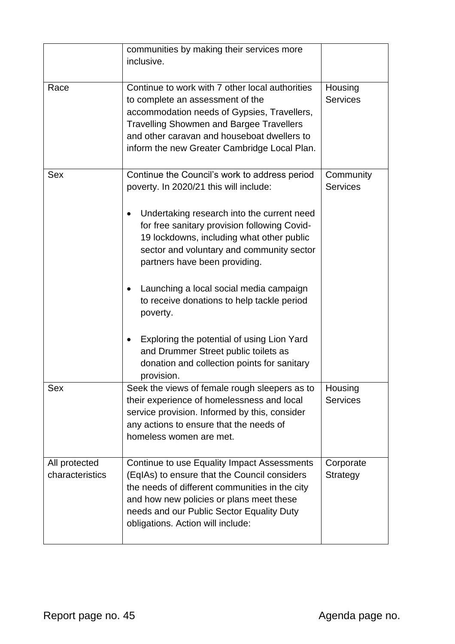|                                  | communities by making their services more<br>inclusive.                                                                                                                                                                                                                                                                                                                                                                                                                                                                                                                  |                              |
|----------------------------------|--------------------------------------------------------------------------------------------------------------------------------------------------------------------------------------------------------------------------------------------------------------------------------------------------------------------------------------------------------------------------------------------------------------------------------------------------------------------------------------------------------------------------------------------------------------------------|------------------------------|
| Race                             | Continue to work with 7 other local authorities<br>to complete an assessment of the<br>accommodation needs of Gypsies, Travellers,<br><b>Travelling Showmen and Bargee Travellers</b><br>and other caravan and houseboat dwellers to<br>inform the new Greater Cambridge Local Plan.                                                                                                                                                                                                                                                                                     | Housing<br><b>Services</b>   |
| <b>Sex</b>                       | Continue the Council's work to address period<br>poverty. In 2020/21 this will include:<br>Undertaking research into the current need<br>for free sanitary provision following Covid-<br>19 lockdowns, including what other public<br>sector and voluntary and community sector<br>partners have been providing.<br>Launching a local social media campaign<br>to receive donations to help tackle period<br>poverty.<br>Exploring the potential of using Lion Yard<br>and Drummer Street public toilets as<br>donation and collection points for sanitary<br>provision. | Community<br><b>Services</b> |
| Sex                              | Seek the views of female rough sleepers as to<br>their experience of homelessness and local<br>service provision. Informed by this, consider<br>any actions to ensure that the needs of<br>homeless women are met.                                                                                                                                                                                                                                                                                                                                                       | Housing<br><b>Services</b>   |
| All protected<br>characteristics | Continue to use Equality Impact Assessments<br>(EqIAs) to ensure that the Council considers<br>the needs of different communities in the city<br>and how new policies or plans meet these<br>needs and our Public Sector Equality Duty<br>obligations. Action will include:                                                                                                                                                                                                                                                                                              | Corporate<br>Strategy        |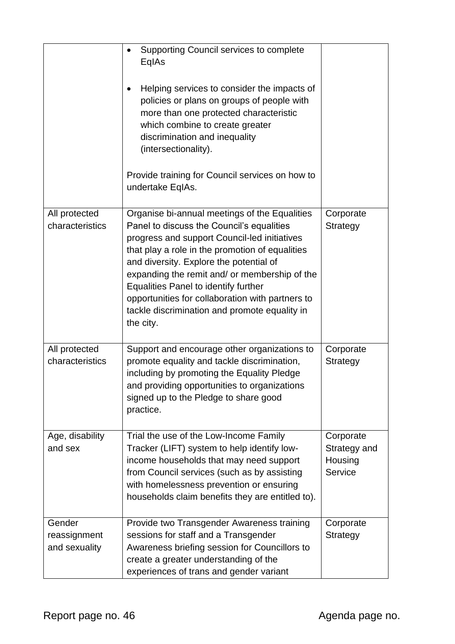|                                         | Supporting Council services to complete<br>$\bullet$<br>EqlAs<br>Helping services to consider the impacts of<br>$\bullet$<br>policies or plans on groups of people with<br>more than one protected characteristic<br>which combine to create greater<br>discrimination and inequality<br>(intersectionality).<br>Provide training for Council services on how to<br>undertake EqIAs.                                                                       |                                                 |
|-----------------------------------------|------------------------------------------------------------------------------------------------------------------------------------------------------------------------------------------------------------------------------------------------------------------------------------------------------------------------------------------------------------------------------------------------------------------------------------------------------------|-------------------------------------------------|
| All protected<br>characteristics        | Organise bi-annual meetings of the Equalities<br>Panel to discuss the Council's equalities<br>progress and support Council-led initiatives<br>that play a role in the promotion of equalities<br>and diversity. Explore the potential of<br>expanding the remit and/ or membership of the<br><b>Equalities Panel to identify further</b><br>opportunities for collaboration with partners to<br>tackle discrimination and promote equality in<br>the city. | Corporate<br>Strategy                           |
| All protected<br>characteristics        | Support and encourage other organizations to<br>promote equality and tackle discrimination,<br>including by promoting the Equality Pledge<br>and providing opportunities to organizations<br>signed up to the Pledge to share good<br>practice.                                                                                                                                                                                                            | Corporate<br>Strategy                           |
| Age, disability<br>and sex              | Trial the use of the Low-Income Family<br>Tracker (LIFT) system to help identify low-<br>income households that may need support<br>from Council services (such as by assisting<br>with homelessness prevention or ensuring<br>households claim benefits they are entitled to).                                                                                                                                                                            | Corporate<br>Strategy and<br>Housing<br>Service |
| Gender<br>reassignment<br>and sexuality | Provide two Transgender Awareness training<br>sessions for staff and a Transgender<br>Awareness briefing session for Councillors to<br>create a greater understanding of the<br>experiences of trans and gender variant                                                                                                                                                                                                                                    | Corporate<br>Strategy                           |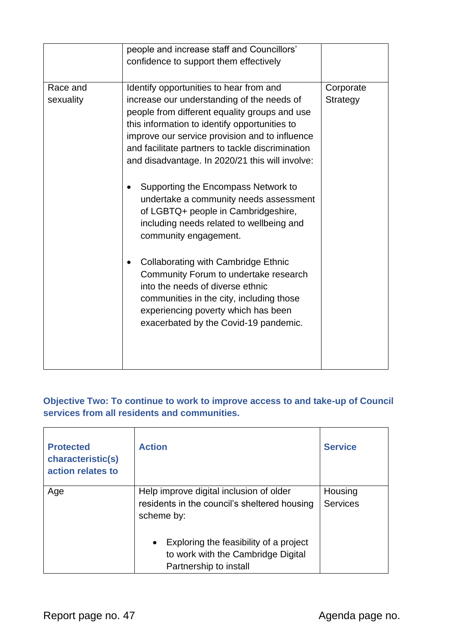|                       | people and increase staff and Councillors'<br>confidence to support them effectively                                                                                                                                                                                                                                                                                                                                                                                                                                                                                                                                                                                                                                                                                                                 |                       |
|-----------------------|------------------------------------------------------------------------------------------------------------------------------------------------------------------------------------------------------------------------------------------------------------------------------------------------------------------------------------------------------------------------------------------------------------------------------------------------------------------------------------------------------------------------------------------------------------------------------------------------------------------------------------------------------------------------------------------------------------------------------------------------------------------------------------------------------|-----------------------|
|                       |                                                                                                                                                                                                                                                                                                                                                                                                                                                                                                                                                                                                                                                                                                                                                                                                      |                       |
| Race and<br>sexuality | Identify opportunities to hear from and<br>increase our understanding of the needs of<br>people from different equality groups and use<br>this information to identify opportunities to<br>improve our service provision and to influence<br>and facilitate partners to tackle discrimination<br>and disadvantage. In 2020/21 this will involve:<br>Supporting the Encompass Network to<br>undertake a community needs assessment<br>of LGBTQ+ people in Cambridgeshire,<br>including needs related to wellbeing and<br>community engagement.<br><b>Collaborating with Cambridge Ethnic</b><br>Community Forum to undertake research<br>into the needs of diverse ethnic<br>communities in the city, including those<br>experiencing poverty which has been<br>exacerbated by the Covid-19 pandemic. | Corporate<br>Strategy |
|                       |                                                                                                                                                                                                                                                                                                                                                                                                                                                                                                                                                                                                                                                                                                                                                                                                      |                       |

### **Objective Two: To continue to work to improve access to and take-up of Council services from all residents and communities.**

| <b>Protected</b><br>characteristic(s)<br>action relates to | <b>Action</b>                                                                                                       | <b>Service</b>             |
|------------------------------------------------------------|---------------------------------------------------------------------------------------------------------------------|----------------------------|
| Age                                                        | Help improve digital inclusion of older<br>residents in the council's sheltered housing<br>scheme by:               | Housing<br><b>Services</b> |
|                                                            | Exploring the feasibility of a project<br>$\bullet$<br>to work with the Cambridge Digital<br>Partnership to install |                            |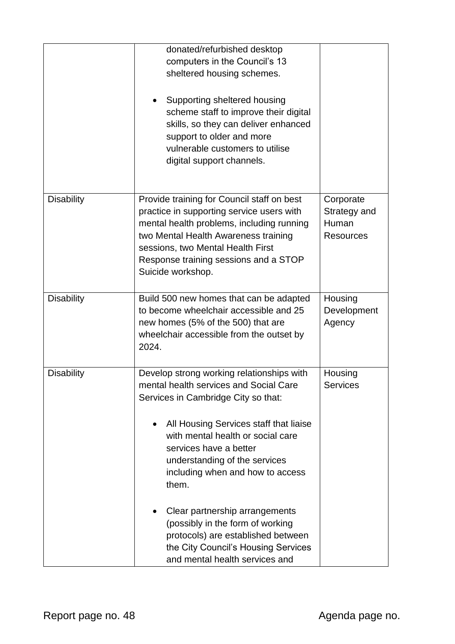|                   | donated/refurbished desktop<br>computers in the Council's 13<br>sheltered housing schemes.<br>Supporting sheltered housing<br>scheme staff to improve their digital<br>skills, so they can deliver enhanced<br>support to older and more<br>vulnerable customers to utilise<br>digital support channels.                                                                                                                                                                                               |                                                        |
|-------------------|--------------------------------------------------------------------------------------------------------------------------------------------------------------------------------------------------------------------------------------------------------------------------------------------------------------------------------------------------------------------------------------------------------------------------------------------------------------------------------------------------------|--------------------------------------------------------|
| <b>Disability</b> | Provide training for Council staff on best<br>practice in supporting service users with<br>mental health problems, including running<br>two Mental Health Awareness training<br>sessions, two Mental Health First<br>Response training sessions and a STOP<br>Suicide workshop.                                                                                                                                                                                                                        | Corporate<br>Strategy and<br>Human<br><b>Resources</b> |
| <b>Disability</b> | Build 500 new homes that can be adapted<br>to become wheelchair accessible and 25<br>new homes (5% of the 500) that are<br>wheelchair accessible from the outset by<br>2024.                                                                                                                                                                                                                                                                                                                           | Housing<br>Development<br>Agency                       |
| <b>Disability</b> | Develop strong working relationships with<br>mental health services and Social Care<br>Services in Cambridge City so that:<br>All Housing Services staff that liaise<br>with mental health or social care<br>services have a better<br>understanding of the services<br>including when and how to access<br>them.<br>Clear partnership arrangements<br>(possibly in the form of working<br>protocols) are established between<br>the City Council's Housing Services<br>and mental health services and | Housing<br><b>Services</b>                             |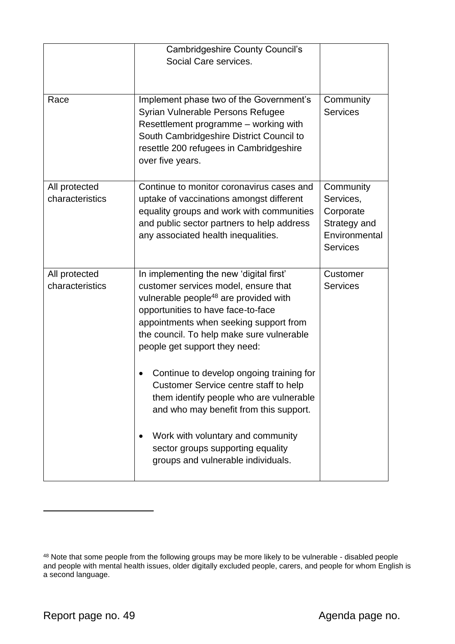|                                  | <b>Cambridgeshire County Council's</b><br>Social Care services.                                                                                                                                                                                                                                    |                                                                                         |
|----------------------------------|----------------------------------------------------------------------------------------------------------------------------------------------------------------------------------------------------------------------------------------------------------------------------------------------------|-----------------------------------------------------------------------------------------|
| Race                             | Implement phase two of the Government's<br>Syrian Vulnerable Persons Refugee<br>Resettlement programme – working with<br>South Cambridgeshire District Council to<br>resettle 200 refugees in Cambridgeshire<br>over five years.                                                                   | Community<br><b>Services</b>                                                            |
| All protected<br>characteristics | Continue to monitor coronavirus cases and<br>uptake of vaccinations amongst different<br>equality groups and work with communities<br>and public sector partners to help address<br>any associated health inequalities.                                                                            | Community<br>Services,<br>Corporate<br>Strategy and<br>Environmental<br><b>Services</b> |
| All protected<br>characteristics | In implementing the new 'digital first'<br>customer services model, ensure that<br>vulnerable people <sup>48</sup> are provided with<br>opportunities to have face-to-face<br>appointments when seeking support from<br>the council. To help make sure vulnerable<br>people get support they need: | Customer<br><b>Services</b>                                                             |
|                                  | Continue to develop ongoing training for<br>Customer Service centre staff to help<br>them identify people who are vulnerable<br>and who may benefit from this support.<br>Work with voluntary and community<br>sector groups supporting equality<br>groups and vulnerable individuals.             |                                                                                         |

 $48$  Note that some people from the following groups may be more likely to be vulnerable - disabled people and people with mental health issues, older digitally excluded people, carers, and people for whom English is a second language.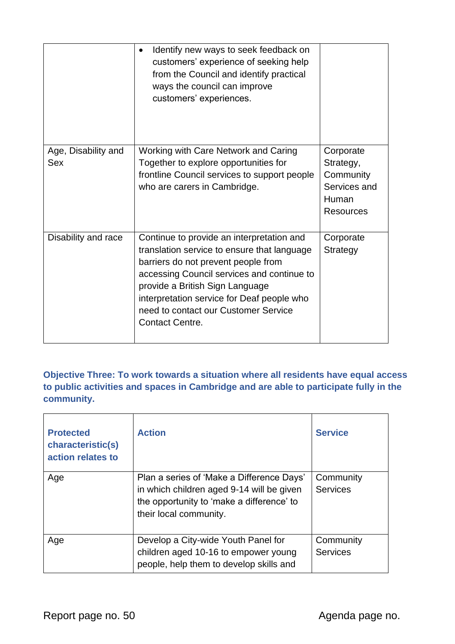|                                   | Identify new ways to seek feedback on<br>customers' experience of seeking help<br>from the Council and identify practical<br>ways the council can improve<br>customers' experiences.                                                                                                                                             |                                                                                  |
|-----------------------------------|----------------------------------------------------------------------------------------------------------------------------------------------------------------------------------------------------------------------------------------------------------------------------------------------------------------------------------|----------------------------------------------------------------------------------|
| Age, Disability and<br><b>Sex</b> | Working with Care Network and Caring<br>Together to explore opportunities for<br>frontline Council services to support people<br>who are carers in Cambridge.                                                                                                                                                                    | Corporate<br>Strategy,<br>Community<br>Services and<br>Human<br><b>Resources</b> |
| Disability and race               | Continue to provide an interpretation and<br>translation service to ensure that language<br>barriers do not prevent people from<br>accessing Council services and continue to<br>provide a British Sign Language<br>interpretation service for Deaf people who<br>need to contact our Customer Service<br><b>Contact Centre.</b> | Corporate<br>Strategy                                                            |

**Objective Three: To work towards a situation where all residents have equal access to public activities and spaces in Cambridge and are able to participate fully in the community.**

| <b>Protected</b><br>characteristic(s)<br>action relates to | <b>Action</b>                                                                                                                                                 | <b>Service</b>               |
|------------------------------------------------------------|---------------------------------------------------------------------------------------------------------------------------------------------------------------|------------------------------|
| Age                                                        | Plan a series of 'Make a Difference Days'<br>in which children aged 9-14 will be given<br>the opportunity to 'make a difference' to<br>their local community. | Community<br><b>Services</b> |
| Age                                                        | Develop a City-wide Youth Panel for<br>children aged 10-16 to empower young<br>people, help them to develop skills and                                        | Community<br><b>Services</b> |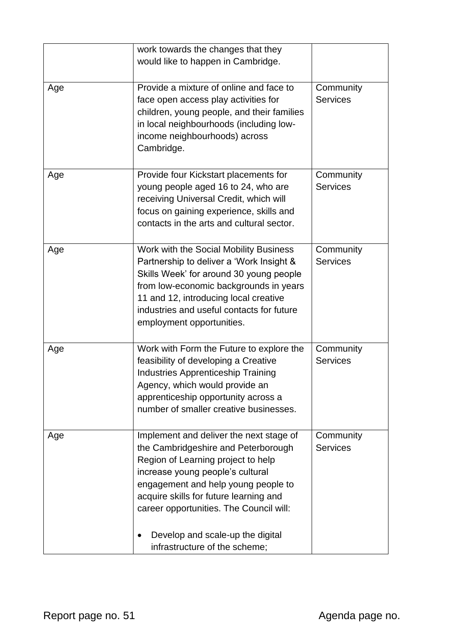|     | work towards the changes that they<br>would like to happen in Cambridge.                                                                                                                                                                                                                                                                                  |                              |
|-----|-----------------------------------------------------------------------------------------------------------------------------------------------------------------------------------------------------------------------------------------------------------------------------------------------------------------------------------------------------------|------------------------------|
|     |                                                                                                                                                                                                                                                                                                                                                           |                              |
| Age | Provide a mixture of online and face to<br>face open access play activities for<br>children, young people, and their families<br>in local neighbourhoods (including low-<br>income neighbourhoods) across<br>Cambridge.                                                                                                                                   | Community<br><b>Services</b> |
| Age | Provide four Kickstart placements for<br>young people aged 16 to 24, who are<br>receiving Universal Credit, which will<br>focus on gaining experience, skills and<br>contacts in the arts and cultural sector.                                                                                                                                            | Community<br><b>Services</b> |
| Age | Work with the Social Mobility Business<br>Partnership to deliver a 'Work Insight &<br>Skills Week' for around 30 young people<br>from low-economic backgrounds in years<br>11 and 12, introducing local creative<br>industries and useful contacts for future<br>employment opportunities.                                                                | Community<br><b>Services</b> |
| Age | Work with Form the Future to explore the<br>feasibility of developing a Creative<br><b>Industries Apprenticeship Training</b><br>Agency, which would provide an<br>apprenticeship opportunity across a<br>number of smaller creative businesses.                                                                                                          | Community<br><b>Services</b> |
| Age | Implement and deliver the next stage of<br>the Cambridgeshire and Peterborough<br>Region of Learning project to help<br>increase young people's cultural<br>engagement and help young people to<br>acquire skills for future learning and<br>career opportunities. The Council will:<br>Develop and scale-up the digital<br>infrastructure of the scheme; | Community<br><b>Services</b> |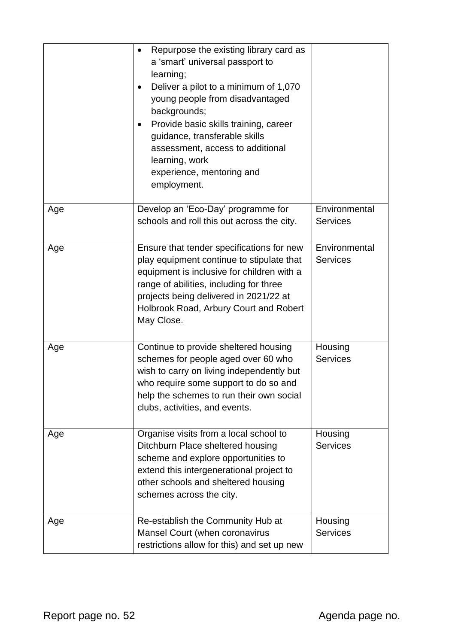|     | Repurpose the existing library card as<br>$\bullet$<br>a 'smart' universal passport to<br>learning;<br>Deliver a pilot to a minimum of 1,070<br>young people from disadvantaged<br>backgrounds;<br>Provide basic skills training, career<br>guidance, transferable skills<br>assessment, access to additional<br>learning, work<br>experience, mentoring and<br>employment. |                                  |
|-----|-----------------------------------------------------------------------------------------------------------------------------------------------------------------------------------------------------------------------------------------------------------------------------------------------------------------------------------------------------------------------------|----------------------------------|
| Age | Develop an 'Eco-Day' programme for<br>schools and roll this out across the city.                                                                                                                                                                                                                                                                                            | Environmental<br><b>Services</b> |
| Age | Ensure that tender specifications for new<br>play equipment continue to stipulate that<br>equipment is inclusive for children with a<br>range of abilities, including for three<br>projects being delivered in 2021/22 at<br>Holbrook Road, Arbury Court and Robert<br>May Close.                                                                                           | Environmental<br><b>Services</b> |
| Age | Continue to provide sheltered housing<br>schemes for people aged over 60 who<br>wish to carry on living independently but<br>who require some support to do so and<br>help the schemes to run their own social<br>clubs, activities, and events.                                                                                                                            | Housing<br><b>Services</b>       |
| Age | Organise visits from a local school to<br>Ditchburn Place sheltered housing<br>scheme and explore opportunities to<br>extend this intergenerational project to<br>other schools and sheltered housing<br>schemes across the city.                                                                                                                                           | Housing<br><b>Services</b>       |
| Age | Re-establish the Community Hub at<br>Mansel Court (when coronavirus<br>restrictions allow for this) and set up new                                                                                                                                                                                                                                                          | Housing<br><b>Services</b>       |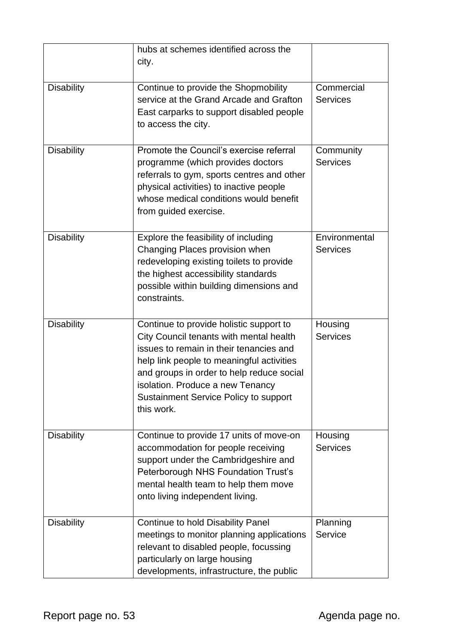|                   | hubs at schemes identified across the<br>city.                                                                                                                                                                                                                                                                     |                                  |
|-------------------|--------------------------------------------------------------------------------------------------------------------------------------------------------------------------------------------------------------------------------------------------------------------------------------------------------------------|----------------------------------|
| <b>Disability</b> | Continue to provide the Shopmobility<br>service at the Grand Arcade and Grafton<br>East carparks to support disabled people<br>to access the city.                                                                                                                                                                 | Commercial<br><b>Services</b>    |
| <b>Disability</b> | Promote the Council's exercise referral<br>programme (which provides doctors<br>referrals to gym, sports centres and other<br>physical activities) to inactive people<br>whose medical conditions would benefit<br>from guided exercise.                                                                           | Community<br><b>Services</b>     |
| <b>Disability</b> | Explore the feasibility of including<br>Changing Places provision when<br>redeveloping existing toilets to provide<br>the highest accessibility standards<br>possible within building dimensions and<br>constraints.                                                                                               | Environmental<br><b>Services</b> |
| <b>Disability</b> | Continue to provide holistic support to<br>City Council tenants with mental health<br>issues to remain in their tenancies and<br>help link people to meaningful activities<br>and groups in order to help reduce social<br>isolation. Produce a new Tenancy<br>Sustainment Service Policy to support<br>this work. | Housing<br><b>Services</b>       |
| <b>Disability</b> | Continue to provide 17 units of move-on<br>accommodation for people receiving<br>support under the Cambridgeshire and<br>Peterborough NHS Foundation Trust's<br>mental health team to help them move<br>onto living independent living.                                                                            | Housing<br><b>Services</b>       |
| <b>Disability</b> | <b>Continue to hold Disability Panel</b><br>meetings to monitor planning applications<br>relevant to disabled people, focussing<br>particularly on large housing<br>developments, infrastructure, the public                                                                                                       | Planning<br>Service              |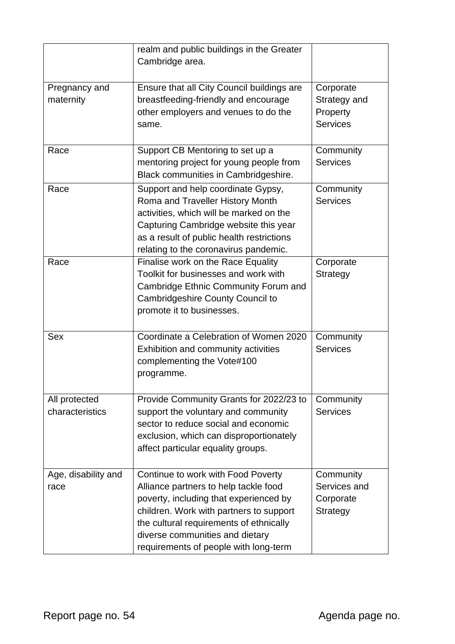|                                  | realm and public buildings in the Greater<br>Cambridge area.                                                                                                                                                                                                                            |                                                          |
|----------------------------------|-----------------------------------------------------------------------------------------------------------------------------------------------------------------------------------------------------------------------------------------------------------------------------------------|----------------------------------------------------------|
| Pregnancy and<br>maternity       | Ensure that all City Council buildings are<br>breastfeeding-friendly and encourage<br>other employers and venues to do the<br>same.                                                                                                                                                     | Corporate<br>Strategy and<br>Property<br><b>Services</b> |
| Race                             | Support CB Mentoring to set up a<br>mentoring project for young people from<br>Black communities in Cambridgeshire.                                                                                                                                                                     | Community<br><b>Services</b>                             |
| Race                             | Support and help coordinate Gypsy,<br>Roma and Traveller History Month<br>activities, which will be marked on the<br>Capturing Cambridge website this year<br>as a result of public health restrictions<br>relating to the coronavirus pandemic.                                        | Community<br><b>Services</b>                             |
| Race                             | Finalise work on the Race Equality<br>Toolkit for businesses and work with<br>Cambridge Ethnic Community Forum and<br>Cambridgeshire County Council to<br>promote it to businesses.                                                                                                     | Corporate<br>Strategy                                    |
| <b>Sex</b>                       | Coordinate a Celebration of Women 2020<br>Exhibition and community activities<br>complementing the Vote#100<br>programme.                                                                                                                                                               | Community<br><b>Services</b>                             |
| All protected<br>characteristics | Provide Community Grants for 2022/23 to<br>support the voluntary and community<br>sector to reduce social and economic<br>exclusion, which can disproportionately<br>affect particular equality groups.                                                                                 | Community<br><b>Services</b>                             |
| Age, disability and<br>race      | Continue to work with Food Poverty<br>Alliance partners to help tackle food<br>poverty, including that experienced by<br>children. Work with partners to support<br>the cultural requirements of ethnically<br>diverse communities and dietary<br>requirements of people with long-term | Community<br>Services and<br>Corporate<br>Strategy       |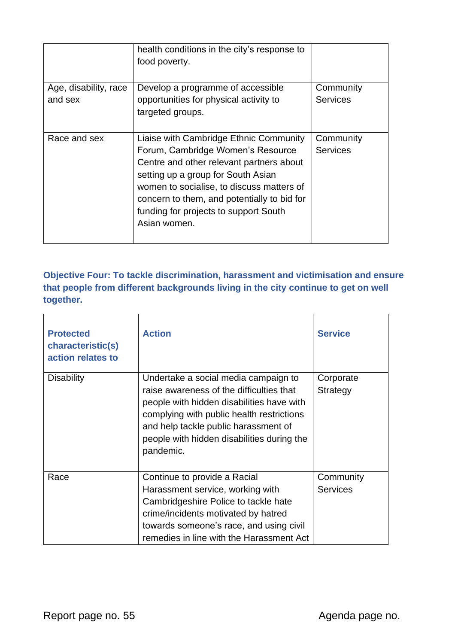|                                  | health conditions in the city's response to<br>food poverty.                                                                                                                                                                                                                                                       |                              |
|----------------------------------|--------------------------------------------------------------------------------------------------------------------------------------------------------------------------------------------------------------------------------------------------------------------------------------------------------------------|------------------------------|
| Age, disability, race<br>and sex | Develop a programme of accessible<br>opportunities for physical activity to<br>targeted groups.                                                                                                                                                                                                                    | Community<br><b>Services</b> |
| Race and sex                     | Liaise with Cambridge Ethnic Community<br>Forum, Cambridge Women's Resource<br>Centre and other relevant partners about<br>setting up a group for South Asian<br>women to socialise, to discuss matters of<br>concern to them, and potentially to bid for<br>funding for projects to support South<br>Asian women. | Community<br><b>Services</b> |

**Objective Four: To tackle discrimination, harassment and victimisation and ensure that people from different backgrounds living in the city continue to get on well together.**

| <b>Protected</b><br>characteristic(s)<br>action relates to | <b>Action</b>                                                                                                                                                                                                                                                                 | <b>Service</b>               |
|------------------------------------------------------------|-------------------------------------------------------------------------------------------------------------------------------------------------------------------------------------------------------------------------------------------------------------------------------|------------------------------|
| <b>Disability</b>                                          | Undertake a social media campaign to<br>raise awareness of the difficulties that<br>people with hidden disabilities have with<br>complying with public health restrictions<br>and help tackle public harassment of<br>people with hidden disabilities during the<br>pandemic. | Corporate<br>Strategy        |
| Race                                                       | Continue to provide a Racial<br>Harassment service, working with<br>Cambridgeshire Police to tackle hate<br>crime/incidents motivated by hatred<br>towards someone's race, and using civil<br>remedies in line with the Harassment Act                                        | Community<br><b>Services</b> |

 $\overline{a}$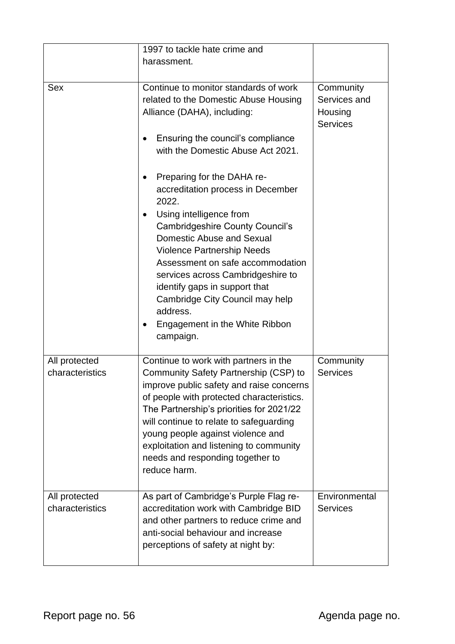|                                  | 1997 to tackle hate crime and                                                                                                                                                                                                                                                                                                                                                                                                                  |                                                         |
|----------------------------------|------------------------------------------------------------------------------------------------------------------------------------------------------------------------------------------------------------------------------------------------------------------------------------------------------------------------------------------------------------------------------------------------------------------------------------------------|---------------------------------------------------------|
|                                  | harassment.                                                                                                                                                                                                                                                                                                                                                                                                                                    |                                                         |
|                                  |                                                                                                                                                                                                                                                                                                                                                                                                                                                |                                                         |
| <b>Sex</b>                       | Continue to monitor standards of work<br>related to the Domestic Abuse Housing<br>Alliance (DAHA), including:<br>Ensuring the council's compliance<br>with the Domestic Abuse Act 2021.                                                                                                                                                                                                                                                        | Community<br>Services and<br>Housing<br><b>Services</b> |
|                                  | Preparing for the DAHA re-<br>٠<br>accreditation process in December<br>2022.<br>Using intelligence from<br>$\bullet$<br><b>Cambridgeshire County Council's</b><br>Domestic Abuse and Sexual<br><b>Violence Partnership Needs</b><br>Assessment on safe accommodation<br>services across Cambridgeshire to<br>identify gaps in support that<br>Cambridge City Council may help<br>address.<br>Engagement in the White Ribbon<br>٠<br>campaign. |                                                         |
| All protected<br>characteristics | Continue to work with partners in the<br>Community Safety Partnership (CSP) to<br>improve public safety and raise concerns<br>of people with protected characteristics.<br>The Partnership's priorities for 2021/22<br>will continue to relate to safeguarding<br>young people against violence and<br>exploitation and listening to community<br>needs and responding together to<br>reduce harm.                                             | Community<br><b>Services</b>                            |
| All protected<br>characteristics | As part of Cambridge's Purple Flag re-<br>accreditation work with Cambridge BID<br>and other partners to reduce crime and<br>anti-social behaviour and increase<br>perceptions of safety at night by:                                                                                                                                                                                                                                          | Environmental<br><b>Services</b>                        |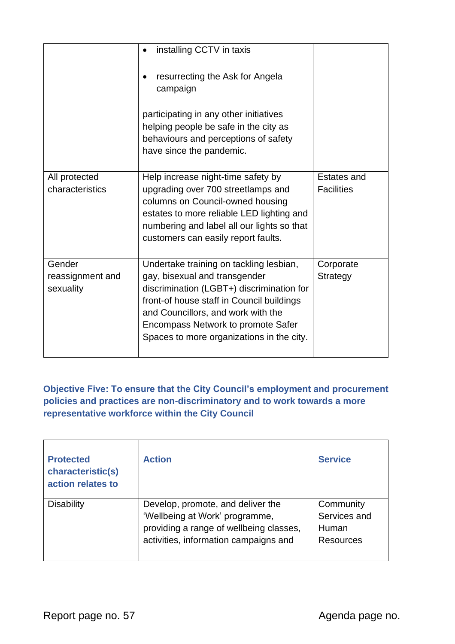|                                         | installing CCTV in taxis<br>resurrecting the Ask for Angela<br>campaign<br>participating in any other initiatives<br>helping people be safe in the city as<br>behaviours and perceptions of safety<br>have since the pandemic.                                                              |                                         |
|-----------------------------------------|---------------------------------------------------------------------------------------------------------------------------------------------------------------------------------------------------------------------------------------------------------------------------------------------|-----------------------------------------|
| All protected<br>characteristics        | Help increase night-time safety by<br>upgrading over 700 streetlamps and<br>columns on Council-owned housing<br>estates to more reliable LED lighting and<br>numbering and label all our lights so that<br>customers can easily report faults.                                              | <b>Estates and</b><br><b>Facilities</b> |
| Gender<br>reassignment and<br>sexuality | Undertake training on tackling lesbian,<br>gay, bisexual and transgender<br>discrimination (LGBT+) discrimination for<br>front-of house staff in Council buildings<br>and Councillors, and work with the<br>Encompass Network to promote Safer<br>Spaces to more organizations in the city. | Corporate<br>Strategy                   |

**Objective Five: To ensure that the City Council's employment and procurement policies and practices are non-discriminatory and to work towards a more representative workforce within the City Council**

| <b>Protected</b><br>characteristic(s)<br>action relates to | <b>Action</b>                                                                                                                                           | <b>Service</b>                                         |
|------------------------------------------------------------|---------------------------------------------------------------------------------------------------------------------------------------------------------|--------------------------------------------------------|
| <b>Disability</b>                                          | Develop, promote, and deliver the<br>'Wellbeing at Work' programme,<br>providing a range of wellbeing classes,<br>activities, information campaigns and | Community<br>Services and<br>Human<br><b>Resources</b> |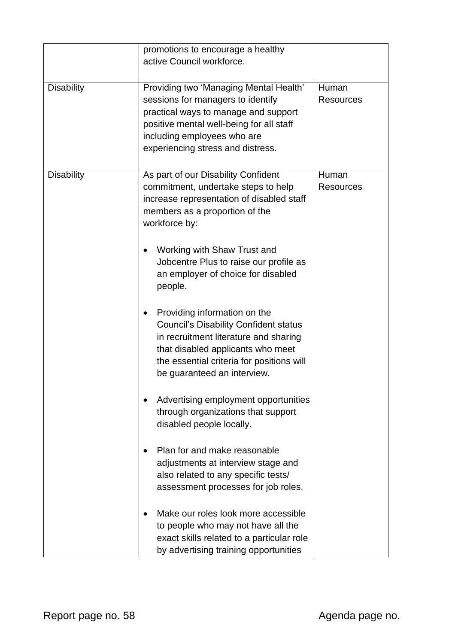|                   | promotions to encourage a healthy<br>active Council workforce.                                                                                                                                                                         |                           |
|-------------------|----------------------------------------------------------------------------------------------------------------------------------------------------------------------------------------------------------------------------------------|---------------------------|
| <b>Disability</b> | Providing two 'Managing Mental Health'<br>sessions for managers to identify<br>practical ways to manage and support<br>positive mental well-being for all staff<br>including employees who are<br>experiencing stress and distress.    | Human<br><b>Resources</b> |
| <b>Disability</b> | As part of our Disability Confident<br>commitment, undertake steps to help<br>increase representation of disabled staff<br>members as a proportion of the<br>workforce by:<br>Working with Shaw Trust and                              | Human<br><b>Resources</b> |
|                   | Jobcentre Plus to raise our profile as<br>an employer of choice for disabled<br>people.                                                                                                                                                |                           |
|                   | Providing information on the<br><b>Council's Disability Confident status</b><br>in recruitment literature and sharing<br>that disabled applicants who meet<br>the essential criteria for positions will<br>be guaranteed an interview. |                           |
|                   | Advertising employment opportunities<br>through organizations that support<br>disabled people locally.                                                                                                                                 |                           |
|                   | Plan for and make reasonable<br>adjustments at interview stage and<br>also related to any specific tests/<br>assessment processes for job roles.                                                                                       |                           |
|                   | Make our roles look more accessible<br>to people who may not have all the<br>exact skills related to a particular role<br>by advertising training opportunities                                                                        |                           |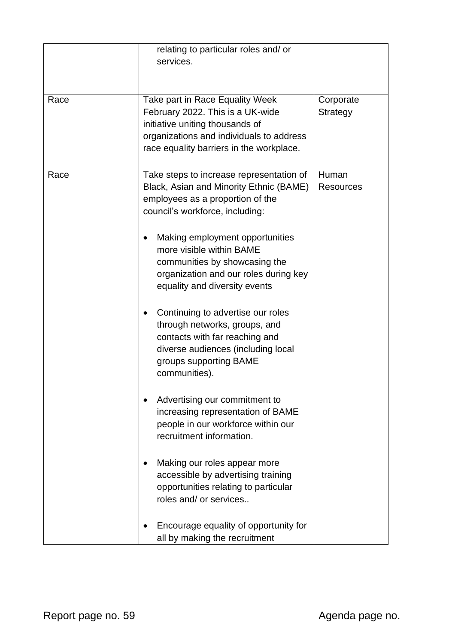|      | relating to particular roles and/or      |                  |
|------|------------------------------------------|------------------|
|      | services.                                |                  |
|      |                                          |                  |
|      |                                          |                  |
| Race | Take part in Race Equality Week          | Corporate        |
|      | February 2022. This is a UK-wide         | Strategy         |
|      | initiative uniting thousands of          |                  |
|      | organizations and individuals to address |                  |
|      | race equality barriers in the workplace. |                  |
| Race | Take steps to increase representation of | Human            |
|      | Black, Asian and Minority Ethnic (BAME)  | <b>Resources</b> |
|      | employees as a proportion of the         |                  |
|      | council's workforce, including:          |                  |
|      |                                          |                  |
|      | Making employment opportunities          |                  |
|      | more visible within BAME                 |                  |
|      | communities by showcasing the            |                  |
|      | organization and our roles during key    |                  |
|      | equality and diversity events            |                  |
|      |                                          |                  |
|      | Continuing to advertise our roles        |                  |
|      | through networks, groups, and            |                  |
|      | contacts with far reaching and           |                  |
|      | diverse audiences (including local       |                  |
|      | groups supporting BAME                   |                  |
|      | communities).                            |                  |
|      | Advertising our commitment to            |                  |
|      | increasing representation of BAME        |                  |
|      | people in our workforce within our       |                  |
|      | recruitment information.                 |                  |
|      |                                          |                  |
|      | Making our roles appear more             |                  |
|      | accessible by advertising training       |                  |
|      | opportunities relating to particular     |                  |
|      | roles and/ or services                   |                  |
|      |                                          |                  |
|      | Encourage equality of opportunity for    |                  |
|      | all by making the recruitment            |                  |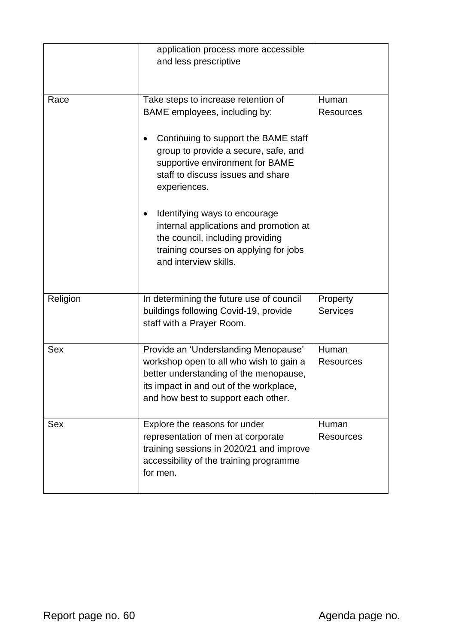|            | application process more accessible<br>and less prescriptive                                                                                                                                                                                                                                                                                                                                                                  |                             |
|------------|-------------------------------------------------------------------------------------------------------------------------------------------------------------------------------------------------------------------------------------------------------------------------------------------------------------------------------------------------------------------------------------------------------------------------------|-----------------------------|
| Race       | Take steps to increase retention of<br>BAME employees, including by:<br>Continuing to support the BAME staff<br>group to provide a secure, safe, and<br>supportive environment for BAME<br>staff to discuss issues and share<br>experiences.<br>Identifying ways to encourage<br>internal applications and promotion at<br>the council, including providing<br>training courses on applying for jobs<br>and interview skills. | Human<br><b>Resources</b>   |
| Religion   | In determining the future use of council<br>buildings following Covid-19, provide<br>staff with a Prayer Room.                                                                                                                                                                                                                                                                                                                | Property<br><b>Services</b> |
| <b>Sex</b> | Provide an 'Understanding Menopause'<br>workshop open to all who wish to gain a<br>better understanding of the menopause,<br>its impact in and out of the workplace,<br>and how best to support each other.                                                                                                                                                                                                                   | Human<br><b>Resources</b>   |
| <b>Sex</b> | Explore the reasons for under<br>representation of men at corporate<br>training sessions in 2020/21 and improve<br>accessibility of the training programme<br>for men.                                                                                                                                                                                                                                                        | Human<br><b>Resources</b>   |